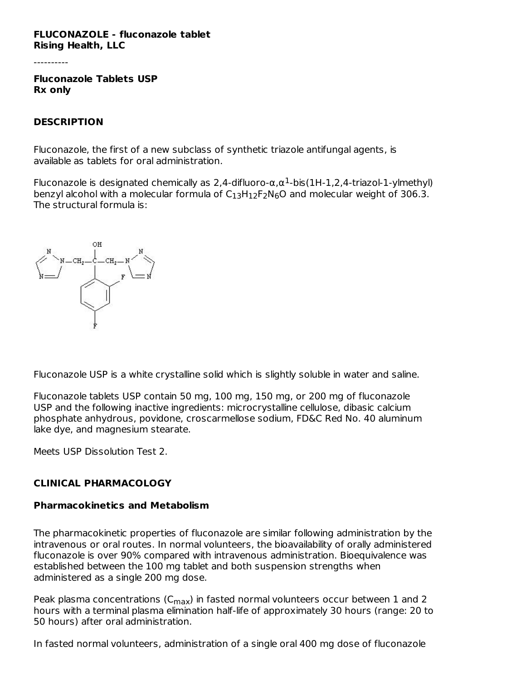#### **FLUCONAZOLE - fluconazole tablet Rising Health, LLC**

----------

**Fluconazole Tablets USP Rx only**

#### **DESCRIPTION**

Fluconazole, the first of a new subclass of synthetic triazole antifungal agents, is available as tablets for oral administration.

Fluconazole is designated chemically as 2,4-difluoro- $\alpha, \alpha^1$ -bis(1H-1,2,4-triazol-1-ylmethyl) benzyl alcohol with a molecular formula of  $C_{13}H_{12}F_2N_6O$  and molecular weight of 306.3. The structural formula is:



Fluconazole USP is a white crystalline solid which is slightly soluble in water and saline.

Fluconazole tablets USP contain 50 mg, 100 mg, 150 mg, or 200 mg of fluconazole USP and the following inactive ingredients: microcrystalline cellulose, dibasic calcium phosphate anhydrous, povidone, croscarmellose sodium, FD&C Red No. 40 aluminum lake dye, and magnesium stearate.

Meets USP Dissolution Test 2.

# **CLINICAL PHARMACOLOGY**

#### **Pharmacokinetics and Metabolism**

The pharmacokinetic properties of fluconazole are similar following administration by the intravenous or oral routes. In normal volunteers, the bioavailability of orally administered fluconazole is over 90% compared with intravenous administration. Bioequivalence was established between the 100 mg tablet and both suspension strengths when administered as a single 200 mg dose.

Peak plasma concentrations (C<sub>max</sub>) in fasted normal volunteers occur between 1 and 2 hours with a terminal plasma elimination half-life of approximately 30 hours (range: 20 to 50 hours) after oral administration.

In fasted normal volunteers, administration of a single oral 400 mg dose of fluconazole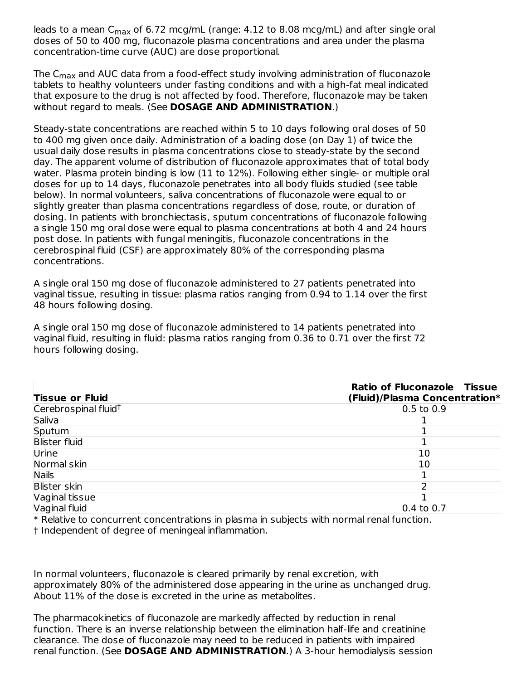leads to a mean C<sub>max</sub> of 6.72 mcg/mL (range: 4.12 to 8.08 mcg/mL) and after single oral doses of 50 to 400 mg, fluconazole plasma concentrations and area under the plasma concentration-time curve (AUC) are dose proportional.

The C $_{\sf max}$  and AUC data from a food-effect study involving administration of fluconazole tablets to healthy volunteers under fasting conditions and with a high-fat meal indicated that exposure to the drug is not affected by food. Therefore, fluconazole may be taken without regard to meals. (See **DOSAGE AND ADMINISTRATION**.)

Steady-state concentrations are reached within 5 to 10 days following oral doses of 50 to 400 mg given once daily. Administration of a loading dose (on Day 1) of twice the usual daily dose results in plasma concentrations close to steady-state by the second day. The apparent volume of distribution of fluconazole approximates that of total body water. Plasma protein binding is low (11 to 12%). Following either single- or multiple oral doses for up to 14 days, fluconazole penetrates into all body fluids studied (see table below). In normal volunteers, saliva concentrations of fluconazole were equal to or slightly greater than plasma concentrations regardless of dose, route, or duration of dosing. In patients with bronchiectasis, sputum concentrations of fluconazole following a single 150 mg oral dose were equal to plasma concentrations at both 4 and 24 hours post dose. In patients with fungal meningitis, fluconazole concentrations in the cerebrospinal fluid (CSF) are approximately 80% of the corresponding plasma concentrations.

A single oral 150 mg dose of fluconazole administered to 27 patients penetrated into vaginal tissue, resulting in tissue: plasma ratios ranging from 0.94 to 1.14 over the first 48 hours following dosing.

A single oral 150 mg dose of fluconazole administered to 14 patients penetrated into vaginal fluid, resulting in fluid: plasma ratios ranging from 0.36 to 0.71 over the first 72 hours following dosing.

| <b>Ratio of Fluconazole Tissue</b><br>(Fluid)/Plasma Concentration* |
|---------------------------------------------------------------------|
| $0.5$ to $0.9$                                                      |
|                                                                     |
|                                                                     |
|                                                                     |
| 10                                                                  |
| 10                                                                  |
|                                                                     |
|                                                                     |
|                                                                     |
| $0.4$ to $0.7$                                                      |
|                                                                     |

\* Relative to concurrent concentrations in plasma in subjects with normal renal function. † Independent of degree of meningeal inflammation.

In normal volunteers, fluconazole is cleared primarily by renal excretion, with approximately 80% of the administered dose appearing in the urine as unchanged drug. About 11% of the dose is excreted in the urine as metabolites.

The pharmacokinetics of fluconazole are markedly affected by reduction in renal function. There is an inverse relationship between the elimination half-life and creatinine clearance. The dose of fluconazole may need to be reduced in patients with impaired renal function. (See **DOSAGE AND ADMINISTRATION**.) A 3-hour hemodialysis session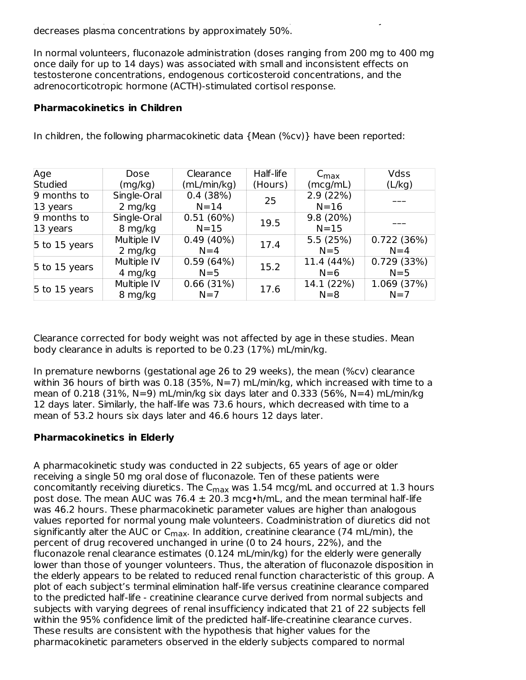renal function. (See **DOSAGE AND ADMINISTRATION**.) A 3-hour hemodialysis session decreases plasma concentrations by approximately 50%.

In normal volunteers, fluconazole administration (doses ranging from 200 mg to 400 mg once daily for up to 14 days) was associated with small and inconsistent effects on testosterone concentrations, endogenous corticosteroid concentrations, and the adrenocorticotropic hormone (ACTH)-stimulated cortisol response.

## **Pharmacokinetics in Children**

| Age                 | Dose        | Clearance   | Half-life | $C_{\text{max}}$ | Vdss        |  |
|---------------------|-------------|-------------|-----------|------------------|-------------|--|
| <b>Studied</b>      | (mg/kg)     | (mL/min/kg) | (Hours)   | (mcg/mL)         | (L/kg)      |  |
| 9 months to         | Single-Oral | 0.4(38%)    | 25        | 2.9(22%)         |             |  |
| $ 13 \rangle$ years | $2$ mg/kg   | $N = 14$    |           | $N=16$           |             |  |
| 9 months to         | Single-Oral | 0.51(60%)   | 19.5      | 9.8 (20%)        |             |  |
| $ 13 \rangle$ years | 8 mg/kg     | $N = 15$    |           | $N = 15$         |             |  |
| 5 to 15 years       | Multiple IV | 0.49(40%)   | 17.4      | 5.5(25%)         | 0.722(36%)  |  |
|                     | 2 mg/kg     | $N=4$       |           | $N=5$            | $N=4$       |  |
|                     | Multiple IV | 0.59(64%)   | 15.2      | 11.4 (44%)       | 0.729(33%)  |  |
| $5$ to 15 years     | 4 mg/kg     | $N = 5$     |           | $N=6$            | $N = 5$     |  |
| 5 to 15 years       | Multiple IV | 0.66(31%)   | 17.6      | 14.1 (22%)       | 1.069 (37%) |  |
|                     | 8 mg/kg     | $N=7$       |           | $N=8$            | $N=7$       |  |

In children, the following pharmacokinetic data {Mean (%cv)} have been reported:

Clearance corrected for body weight was not affected by age in these studies. Mean body clearance in adults is reported to be 0.23 (17%) mL/min/kg.

In premature newborns (gestational age 26 to 29 weeks), the mean (%cv) clearance within 36 hours of birth was 0.18 (35%, N=7) mL/min/kg, which increased with time to a mean of 0.218 (31%, N=9) mL/min/kg six days later and 0.333 (56%, N=4) mL/min/kg 12 days later. Similarly, the half-life was 73.6 hours, which decreased with time to a mean of 53.2 hours six days later and 46.6 hours 12 days later.

# **Pharmacokinetics in Elderly**

A pharmacokinetic study was conducted in 22 subjects, 65 years of age or older receiving a single 50 mg oral dose of fluconazole. Ten of these patients were concomitantly receiving diuretics. The C $_{\sf max}$  was  $1.54$  mcg/mL and occurred at  $1.3$  hours post dose. The mean AUC was 76.4  $\pm$  20.3 mcg • h/mL, and the mean terminal half-life was 46.2 hours. These pharmacokinetic parameter values are higher than analogous values reported for normal young male volunteers. Coadministration of diuretics did not significantly alter the AUC or C<sub>max</sub>. In addition, creatinine clearance (74 mL/min), the percent of drug recovered unchanged in urine (0 to 24 hours, 22%), and the fluconazole renal clearance estimates (0.124 mL/min/kg) for the elderly were generally lower than those of younger volunteers. Thus, the alteration of fluconazole disposition in the elderly appears to be related to reduced renal function characteristic of this group. A plot of each subject's terminal elimination half-life versus creatinine clearance compared to the predicted half-life - creatinine clearance curve derived from normal subjects and subjects with varying degrees of renal insufficiency indicated that 21 of 22 subjects fell within the 95% confidence limit of the predicted half-life-creatinine clearance curves. These results are consistent with the hypothesis that higher values for the pharmacokinetic parameters observed in the elderly subjects compared to normal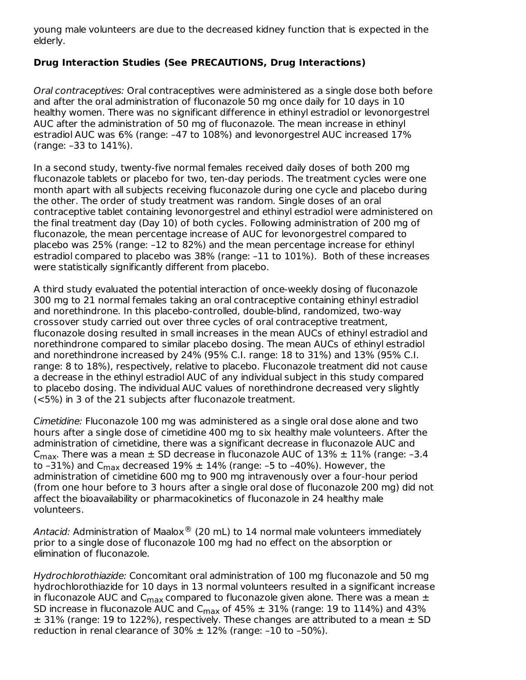young male volunteers are due to the decreased kidney function that is expected in the elderly.

## **Drug Interaction Studies (See PRECAUTIONS, Drug Interactions)**

Oral contraceptives: Oral contraceptives were administered as a single dose both before and after the oral administration of fluconazole 50 mg once daily for 10 days in 10 healthy women. There was no significant difference in ethinyl estradiol or levonorgestrel AUC after the administration of 50 mg of fluconazole. The mean increase in ethinyl estradiol AUC was 6% (range: –47 to 108%) and levonorgestrel AUC increased 17% (range: –33 to 141%).

In a second study, twenty-five normal females received daily doses of both 200 mg fluconazole tablets or placebo for two, ten-day periods. The treatment cycles were one month apart with all subjects receiving fluconazole during one cycle and placebo during the other. The order of study treatment was random. Single doses of an oral contraceptive tablet containing levonorgestrel and ethinyl estradiol were administered on the final treatment day (Day 10) of both cycles. Following administration of 200 mg of fluconazole, the mean percentage increase of AUC for levonorgestrel compared to placebo was 25% (range: –12 to 82%) and the mean percentage increase for ethinyl estradiol compared to placebo was 38% (range: –11 to 101%). Both of these increases were statistically significantly different from placebo.

A third study evaluated the potential interaction of once-weekly dosing of fluconazole 300 mg to 21 normal females taking an oral contraceptive containing ethinyl estradiol and norethindrone. In this placebo-controlled, double-blind, randomized, two-way crossover study carried out over three cycles of oral contraceptive treatment, fluconazole dosing resulted in small increases in the mean AUCs of ethinyl estradiol and norethindrone compared to similar placebo dosing. The mean AUCs of ethinyl estradiol and norethindrone increased by 24% (95% C.I. range: 18 to 31%) and 13% (95% C.I. range: 8 to 18%), respectively, relative to placebo. Fluconazole treatment did not cause a decrease in the ethinyl estradiol AUC of any individual subject in this study compared to placebo dosing. The individual AUC values of norethindrone decreased very slightly (<5%) in 3 of the 21 subjects after fluconazole treatment.

Cimetidine: Fluconazole 100 mg was administered as a single oral dose alone and two hours after a single dose of cimetidine 400 mg to six healthy male volunteers. After the administration of cimetidine, there was a significant decrease in fluconazole AUC and C<sub>max</sub>. There was a mean  $\pm$  SD decrease in fluconazole AUC of  $13\% \pm 11\%$  (range: -3.4 to –31%) and C<sub>max</sub> decreased 19%  $\pm$  14% (range: –5 to –40%). However, the administration of cimetidine 600 mg to 900 mg intravenously over a four-hour period (from one hour before to 3 hours after a single oral dose of fluconazole 200 mg) did not affect the bioavailability or pharmacokinetics of fluconazole in 24 healthy male volunteers.

Antacid: Administration of Maalox $^{\circledR}$  (20 mL) to 14 normal male volunteers immediately prior to a single dose of fluconazole 100 mg had no effect on the absorption or elimination of fluconazole.

Hydrochlorothiazide: Concomitant oral administration of 100 mg fluconazole and 50 mg hydrochlorothiazide for 10 days in 13 normal volunteers resulted in a significant increase in fluconazole AUC and  $\mathsf{C}_{\mathsf{max}}$  compared to fluconazole given alone. There was a mean  $\pm$ SD increase in fluconazole AUC and C $_{\sf max}$  of 45%  $\pm$  31% (range: 19 to 114%) and 43%  $\pm$  31% (range: 19 to 122%), respectively. These changes are attributed to a mean  $\pm$  SD reduction in renal clearance of  $30\% \pm 12\%$  (range: -10 to -50%).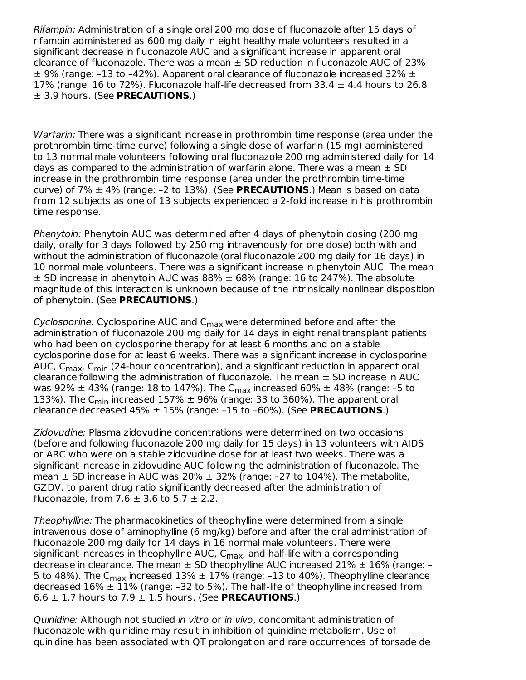Rifampin: Administration of a single oral 200 mg dose of fluconazole after 15 days of rifampin administered as 600 mg daily in eight healthy male volunteers resulted in a significant decrease in fluconazole AUC and a significant increase in apparent oral clearance of fluconazole. There was a mean  $\pm$  SD reduction in fluconazole AUC of 23%  $\pm$  9% (range: -13 to -42%). Apparent oral clearance of fluconazole increased 32%  $\pm$ 17% (range: 16 to 72%). Fluconazole half-life decreased from  $33.4 \pm 4.4$  hours to 26.8 ± 3.9 hours. (See **PRECAUTIONS**.)

Warfarin: There was a significant increase in prothrombin time response (area under the prothrombin time-time curve) following a single dose of warfarin (15 mg) administered to 13 normal male volunteers following oral fluconazole 200 mg administered daily for 14 days as compared to the administration of warfarin alone. There was a mean  $\pm$  SD increase in the prothrombin time response (area under the prothrombin time-time curve) of 7% ± 4% (range: –2 to 13%). (See **PRECAUTIONS**.) Mean is based on data from 12 subjects as one of 13 subjects experienced a 2-fold increase in his prothrombin time response.

Phenytoin: Phenytoin AUC was determined after 4 days of phenytoin dosing (200 mg daily, orally for 3 days followed by 250 mg intravenously for one dose) both with and without the administration of fluconazole (oral fluconazole 200 mg daily for 16 days) in 10 normal male volunteers. There was a significant increase in phenytoin AUC. The mean  $\pm$  SD increase in phenytoin AUC was 88%  $\pm$  68% (range: 16 to 247%). The absolute magnitude of this interaction is unknown because of the intrinsically nonlinear disposition of phenytoin. (See **PRECAUTIONS**.)

*Cyclosporine: C*yclosporine AUC and C<sub>max</sub> were determined before and after the administration of fluconazole 200 mg daily for 14 days in eight renal transplant patients who had been on cyclosporine therapy for at least 6 months and on a stable cyclosporine dose for at least 6 weeks. There was a significant increase in cyclosporine AUC, C<sub>max</sub>, C<sub>min</sub> (24-hour concentration), and a significant reduction in apparent oral clearance following the administration of fluconazole. The mean  $\pm$  SD increase in AUC was 92%  $\pm$  43% (range: 18 to 147%). The C $_{\sf max}$  increased 60%  $\pm$  48% (range: –5 to 133%). The C<sub>min</sub> increased 157%  $\pm$  96% (range: 33 to 360%). The apparent oral clearance decreased 45% ± 15% (range: –15 to –60%). (See **PRECAUTIONS**.)

Zidovudine: Plasma zidovudine concentrations were determined on two occasions (before and following fluconazole 200 mg daily for 15 days) in 13 volunteers with AIDS or ARC who were on a stable zidovudine dose for at least two weeks. There was a significant increase in zidovudine AUC following the administration of fluconazole. The mean  $\pm$  SD increase in AUC was 20%  $\pm$  32% (range: -27 to 104%). The metabolite, GZDV, to parent drug ratio significantly decreased after the administration of fluconazole, from 7.6  $\pm$  3.6 to 5.7  $\pm$  2.2.

Theophylline: The pharmacokinetics of theophylline were determined from a single intravenous dose of aminophylline (6 mg/kg) before and after the oral administration of fluconazole 200 mg daily for 14 days in 16 normal male volunteers. There were significant increases in theophylline AUC, C<sub>max</sub>, and half-life with a corresponding decrease in clearance. The mean  $\pm$  SD theophylline AUC increased 21%  $\pm$  16% (range: -5 to 48%). The C<sub>max</sub> increased 13%  $\pm$  17% (range: -13 to 40%). Theophylline clearance decreased  $16\% \pm 11\%$  (range: -32 to 5%). The half-life of theophylline increased from  $6.6 \pm 1.7$  hours to  $7.9 \pm 1.5$  hours. (See PRECAUTIONS.)

Quinidine: Although not studied in vitro or in vivo, concomitant administration of fluconazole with quinidine may result in inhibition of quinidine metabolism. Use of quinidine has been associated with QT prolongation and rare occurrences of torsade de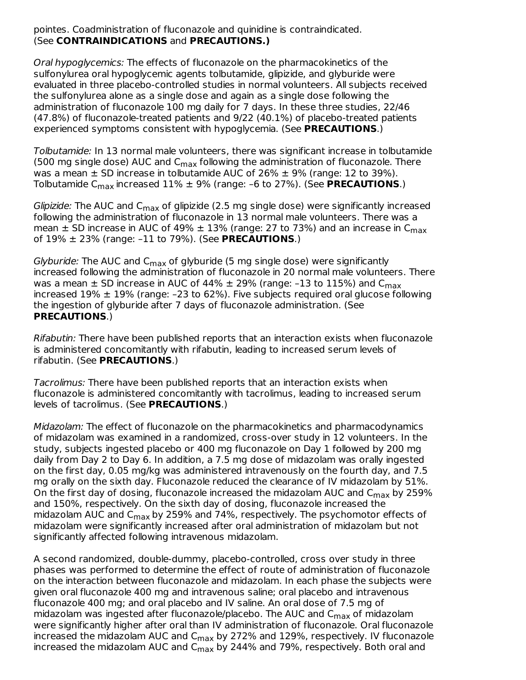pointes. Coadministration of fluconazole and quinidine is contraindicated. (See **CONTRAINDICATIONS** and **PRECAUTIONS.)**

Oral hypoglycemics: The effects of fluconazole on the pharmacokinetics of the sulfonylurea oral hypoglycemic agents tolbutamide, glipizide, and glyburide were evaluated in three placebo-controlled studies in normal volunteers. All subjects received the sulfonylurea alone as a single dose and again as a single dose following the administration of fluconazole 100 mg daily for 7 days. In these three studies, 22/46 (47.8%) of fluconazole-treated patients and 9/22 (40.1%) of placebo-treated patients experienced symptoms consistent with hypoglycemia. (See **PRECAUTIONS**.)

Tolbutamide: In 13 normal male volunteers, there was significant increase in tolbutamide (500 mg single dose) AUC and  $\mathsf{C}_{\mathsf{max}}$  following the administration of fluconazole. There was a mean  $\pm$  SD increase in tolbutamide AUC of 26%  $\pm$  9% (range: 12 to 39%). Tolbutamide C<sub>max</sub> increased 11%  $\pm$  9% (range: –6 to 27%). (See <code>PRECAUTIONS</code>.)

*Glipizide:* The AUC and C<sub>max</sub> of glipizide (2.5 mg single dose) were significantly increased following the administration of fluconazole in 13 normal male volunteers. There was a mean  $\pm$  SD increase in AUC of 49%  $\pm$  13% (range: 27 to 73%) and an increase in C $_{\sf max}$ of 19% ± 23% (range: –11 to 79%). (See **PRECAUTIONS**.)

*Glyburide:* The AUC and C<sub>max</sub> of glyburide (5 mg single dose) were significantly increased following the administration of fluconazole in 20 normal male volunteers. There was a mean  $\pm$  SD increase in AUC of 44%  $\pm$  29% (range: –13 to 115%) and C $_{\sf max}$ increased 19%  $\pm$  19% (range: -23 to 62%). Five subjects required oral glucose following the ingestion of glyburide after 7 days of fluconazole administration. (See **PRECAUTIONS**.)

Rifabutin: There have been published reports that an interaction exists when fluconazole is administered concomitantly with rifabutin, leading to increased serum levels of rifabutin. (See **PRECAUTIONS**.)

Tacrolimus: There have been published reports that an interaction exists when fluconazole is administered concomitantly with tacrolimus, leading to increased serum levels of tacrolimus. (See **PRECAUTIONS**.)

Midazolam: The effect of fluconazole on the pharmacokinetics and pharmacodynamics of midazolam was examined in a randomized, cross-over study in 12 volunteers. In the study, subjects ingested placebo or 400 mg fluconazole on Day 1 followed by 200 mg daily from Day 2 to Day 6. In addition, a 7.5 mg dose of midazolam was orally ingested on the first day, 0.05 mg/kg was administered intravenously on the fourth day, and 7.5 mg orally on the sixth day. Fluconazole reduced the clearance of IV midazolam by 51%. On the first day of dosing, fluconazole increased the midazolam AUC and  $\mathsf{C}_{\mathsf{max}}$  by 259% and 150%, respectively. On the sixth day of dosing, fluconazole increased the midazolam AUC and C<sub>max</sub> by 259% and 74%, respectively. The psychomotor effects of midazolam were significantly increased after oral administration of midazolam but not significantly affected following intravenous midazolam.

A second randomized, double-dummy, placebo-controlled, cross over study in three phases was performed to determine the effect of route of administration of fluconazole on the interaction between fluconazole and midazolam. In each phase the subjects were given oral fluconazole 400 mg and intravenous saline; oral placebo and intravenous fluconazole 400 mg; and oral placebo and IV saline. An oral dose of 7.5 mg of midazolam was ingested after fluconazole/placebo. The AUC and C<sub>max</sub> of midazolam were significantly higher after oral than IV administration of fluconazole. Oral fluconazole increased the midazolam AUC and C $_{\sf max}$  by 272% and 129%, respectively. IV fluconazole increased the midazolam AUC and  $\mathsf{C}_{\mathsf{max}}$  by 244% and 79%, respectively. Both oral and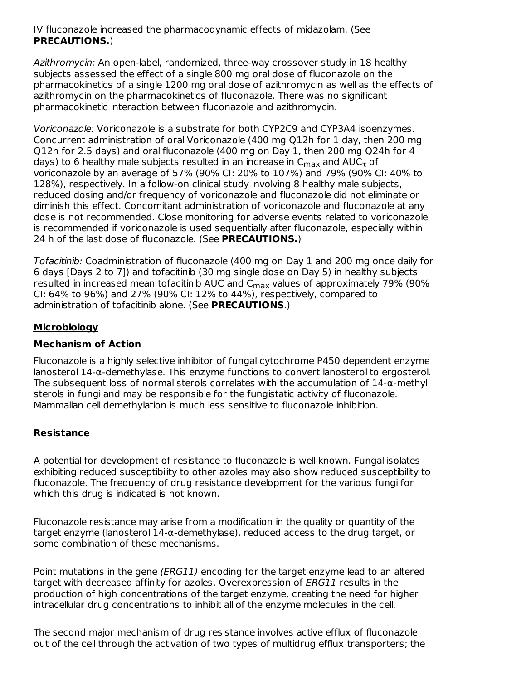IV fluconazole increased the pharmacodynamic effects of midazolam. (See **PRECAUTIONS.**)

Azithromycin: An open-label, randomized, three-way crossover study in 18 healthy subjects assessed the effect of a single 800 mg oral dose of fluconazole on the pharmacokinetics of a single 1200 mg oral dose of azithromycin as well as the effects of azithromycin on the pharmacokinetics of fluconazole. There was no significant pharmacokinetic interaction between fluconazole and azithromycin.

Voriconazole: Voriconazole is a substrate for both CYP2C9 and CYP3A4 isoenzymes. Concurrent administration of oral Voriconazole (400 mg Q12h for 1 day, then 200 mg Q12h for 2.5 days) and oral fluconazole (400 mg on Day 1, then 200 mg Q24h for 4 days) to 6 healthy male subjects resulted in an increase in  $\mathsf{C}_{\mathsf{max}}$  and  $\mathsf{AUC}_{\mathsf{T}}$  of voriconazole by an average of 57% (90% CI: 20% to 107%) and 79% (90% CI: 40% to 128%), respectively. In a follow-on clinical study involving 8 healthy male subjects, reduced dosing and/or frequency of voriconazole and fluconazole did not eliminate or diminish this effect. Concomitant administration of voriconazole and fluconazole at any dose is not recommended. Close monitoring for adverse events related to voriconazole is recommended if voriconazole is used sequentially after fluconazole, especially within 24 h of the last dose of fluconazole. (See **PRECAUTIONS.**)

Tofacitinib: Coadministration of fluconazole (400 mg on Day 1 and 200 mg once daily for 6 days [Days 2 to 7]) and tofacitinib (30 mg single dose on Day 5) in healthy subjects resulted in increased mean tofacitinib AUC and  $\mathsf{C}_{\mathsf{max}}$  values of approximately 79% (90% CI: 64% to 96%) and 27% (90% CI: 12% to 44%), respectively, compared to administration of tofacitinib alone. (See **PRECAUTIONS**.)

# **Microbiology**

## **Mechanism of Action**

Fluconazole is a highly selective inhibitor of fungal cytochrome P450 dependent enzyme lanosterol 14-α-demethylase. This enzyme functions to convert lanosterol to ergosterol. The subsequent loss of normal sterols correlates with the accumulation of  $14-\alpha$ -methyl sterols in fungi and may be responsible for the fungistatic activity of fluconazole. Mammalian cell demethylation is much less sensitive to fluconazole inhibition.

# **Resistance**

A potential for development of resistance to fluconazole is well known. Fungal isolates exhibiting reduced susceptibility to other azoles may also show reduced susceptibility to fluconazole. The frequency of drug resistance development for the various fungi for which this drug is indicated is not known.

Fluconazole resistance may arise from a modification in the quality or quantity of the target enzyme (lanosterol 14-α-demethylase), reduced access to the drug target, or some combination of these mechanisms.

Point mutations in the gene (ERG11) encoding for the target enzyme lead to an altered target with decreased affinity for azoles. Overexpression of ERG11 results in the production of high concentrations of the target enzyme, creating the need for higher intracellular drug concentrations to inhibit all of the enzyme molecules in the cell.

The second major mechanism of drug resistance involves active efflux of fluconazole out of the cell through the activation of two types of multidrug efflux transporters; the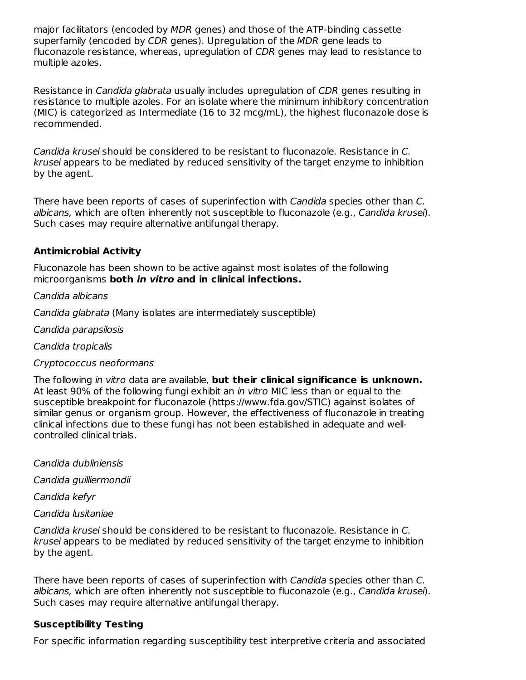major facilitators (encoded by MDR genes) and those of the ATP-binding cassette superfamily (encoded by CDR genes). Upregulation of the MDR gene leads to fluconazole resistance, whereas, upregulation of CDR genes may lead to resistance to multiple azoles.

Resistance in Candida glabrata usually includes upregulation of CDR genes resulting in resistance to multiple azoles. For an isolate where the minimum inhibitory concentration (MIC) is categorized as Intermediate (16 to 32 mcg/mL), the highest fluconazole dose is recommended.

Candida krusei should be considered to be resistant to fluconazole. Resistance in C. krusei appears to be mediated by reduced sensitivity of the target enzyme to inhibition by the agent.

There have been reports of cases of superinfection with Candida species other than C. albicans, which are often inherently not susceptible to fluconazole (e.g., Candida krusei). Such cases may require alternative antifungal therapy.

## **Antimicrobial Activity**

Fluconazole has been shown to be active against most isolates of the following microorganisms **both in vitro and in clinical infections.**

#### Candida albicans

Candida glabrata (Many isolates are intermediately susceptible)

Candida parapsilosis

Candida tropicalis

#### Cryptococcus neoformans

The following in vitro data are available, **but their clinical significance is unknown.** At least 90% of the following fungi exhibit an *in vitro* MIC less than or equal to the susceptible breakpoint for fluconazole (https://www.fda.gov/STIC) against isolates of similar genus or organism group. However, the effectiveness of fluconazole in treating clinical infections due to these fungi has not been established in adequate and wellcontrolled clinical trials.

Candida dubliniensis

Candida guilliermondii

Candida kefyr

Candida lusitaniae

Candida krusei should be considered to be resistant to fluconazole. Resistance in C. krusei appears to be mediated by reduced sensitivity of the target enzyme to inhibition by the agent.

There have been reports of cases of superinfection with Candida species other than C. albicans, which are often inherently not susceptible to fluconazole (e.g., Candida krusei). Such cases may require alternative antifungal therapy.

#### **Susceptibility Testing**

For specific information regarding susceptibility test interpretive criteria and associated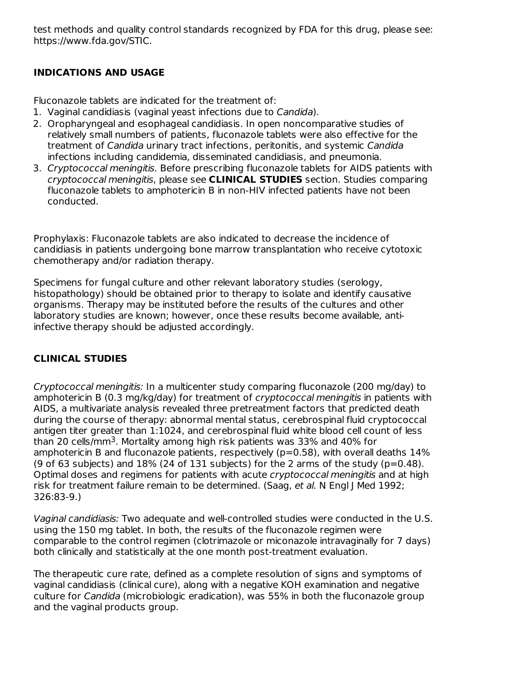test methods and quality control standards recognized by FDA for this drug, please see: https://www.fda.gov/STIC.

# **INDICATIONS AND USAGE**

Fluconazole tablets are indicated for the treatment of:

- 1. Vaginal candidiasis (vaginal yeast infections due to Candida).
- 2. Oropharyngeal and esophageal candidiasis. In open noncomparative studies of relatively small numbers of patients, fluconazole tablets were also effective for the treatment of Candida urinary tract infections, peritonitis, and systemic Candida infections including candidemia, disseminated candidiasis, and pneumonia.
- 3. Cryptococcal meningitis. Before prescribing fluconazole tablets for AIDS patients with cryptococcal meningitis, please see **CLINICAL STUDIES** section. Studies comparing fluconazole tablets to amphotericin B in non-HIV infected patients have not been conducted.

Prophylaxis: Fluconazole tablets are also indicated to decrease the incidence of candidiasis in patients undergoing bone marrow transplantation who receive cytotoxic chemotherapy and/or radiation therapy.

Specimens for fungal culture and other relevant laboratory studies (serology, histopathology) should be obtained prior to therapy to isolate and identify causative organisms. Therapy may be instituted before the results of the cultures and other laboratory studies are known; however, once these results become available, antiinfective therapy should be adjusted accordingly.

# **CLINICAL STUDIES**

Cryptococcal meningitis: In a multicenter study comparing fluconazole (200 mg/day) to amphotericin B (0.3 mg/kg/day) for treatment of *cryptococcal meningitis* in patients with AIDS, a multivariate analysis revealed three pretreatment factors that predicted death during the course of therapy: abnormal mental status, cerebrospinal fluid cryptococcal antigen titer greater than 1:1024, and cerebrospinal fluid white blood cell count of less than 20 cells/mm<sup>3</sup>. Mortality among high risk patients was 33% and 40% for amphotericin B and fluconazole patients, respectively ( $p=0.58$ ), with overall deaths 14% (9 of 63 subjects) and  $18\%$  (24 of 131 subjects) for the 2 arms of the study (p=0.48). Optimal doses and regimens for patients with acute *cryptococcal meningitis* and at high risk for treatment failure remain to be determined. (Saag, et al. N Engl J Med 1992; 326:83-9.)

Vaginal candidiasis: Two adequate and well-controlled studies were conducted in the U.S. using the 150 mg tablet. In both, the results of the fluconazole regimen were comparable to the control regimen (clotrimazole or miconazole intravaginally for 7 days) both clinically and statistically at the one month post-treatment evaluation.

The therapeutic cure rate, defined as a complete resolution of signs and symptoms of vaginal candidiasis (clinical cure), along with a negative KOH examination and negative culture for Candida (microbiologic eradication), was 55% in both the fluconazole group and the vaginal products group.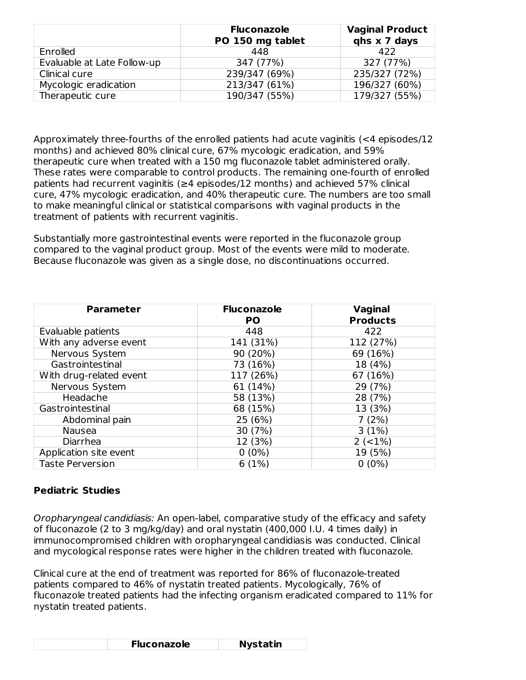|                             | <b>Fluconazole</b><br>PO 150 mg tablet | <b>Vaginal Product</b><br>qhs x 7 days |
|-----------------------------|----------------------------------------|----------------------------------------|
| Enrolled                    | 448                                    | 422                                    |
| Evaluable at Late Follow-up | 347 (77%)                              | 327 (77%)                              |
| Clinical cure               | 239/347 (69%)                          | 235/327 (72%)                          |
| Mycologic eradication       | 213/347 (61%)                          | 196/327 (60%)                          |
| Therapeutic cure            | 190/347 (55%)                          | 179/327 (55%)                          |

Approximately three-fourths of the enrolled patients had acute vaginitis (<4 episodes/12 months) and achieved 80% clinical cure, 67% mycologic eradication, and 59% therapeutic cure when treated with a 150 mg fluconazole tablet administered orally. These rates were comparable to control products. The remaining one-fourth of enrolled patients had recurrent vaginitis ( $\geq 4$  episodes/12 months) and achieved 57% clinical cure, 47% mycologic eradication, and 40% therapeutic cure. The numbers are too small to make meaningful clinical or statistical comparisons with vaginal products in the treatment of patients with recurrent vaginitis.

Substantially more gastrointestinal events were reported in the fluconazole group compared to the vaginal product group. Most of the events were mild to moderate. Because fluconazole was given as a single dose, no discontinuations occurred.

| <b>Parameter</b>        | <b>Fluconazole</b> | <b>Vaginal</b>  |
|-------------------------|--------------------|-----------------|
|                         | <b>PO</b>          | <b>Products</b> |
| Evaluable patients      | 448                | 422             |
| With any adverse event  | 141 (31%)          | 112 (27%)       |
| Nervous System          | 90 (20%)           | 69 (16%)        |
| Gastrointestinal        | 73 (16%)           | 18 (4%)         |
| With drug-related event | 117 (26%)          | 67 (16%)        |
| Nervous System          | 61 (14%)           | 29 (7%)         |
| Headache                | 58 (13%)           | 28 (7%)         |
| Gastrointestinal        | 68 (15%)           | 13 (3%)         |
| Abdominal pain          | 25 (6%)            | 7(2%)           |
| Nausea                  | 30 (7%)            | 3(1%)           |
| Diarrhea                | 12 (3%)            | $2 (-1%)$       |
| Application site event  | $0(0\%)$           | 19 (5%)         |
| <b>Taste Perversion</b> | 6(1%)              | $0(0\%)$        |

#### **Pediatric Studies**

Oropharyngeal candidiasis: An open-label, comparative study of the efficacy and safety of fluconazole (2 to 3 mg/kg/day) and oral nystatin (400,000 I.U. 4 times daily) in immunocompromised children with oropharyngeal candidiasis was conducted. Clinical and mycological response rates were higher in the children treated with fluconazole.

Clinical cure at the end of treatment was reported for 86% of fluconazole-treated patients compared to 46% of nystatin treated patients. Mycologically, 76% of fluconazole treated patients had the infecting organism eradicated compared to 11% for nystatin treated patients.

| <b>Fluconazole</b> | <b>Nystatin</b> |
|--------------------|-----------------|
|--------------------|-----------------|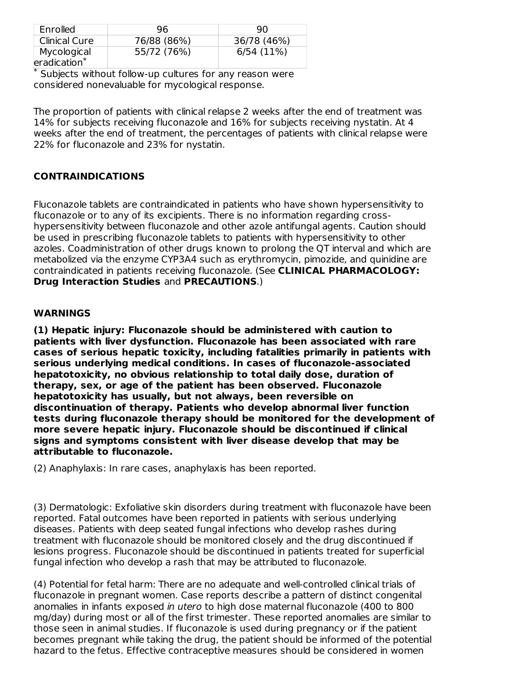| Enrolled                      | 96          | 90          |
|-------------------------------|-------------|-------------|
| <b>Clinical Cure</b>          | 76/88 (86%) | 36/78 (46%) |
| Mycological<br>$eradication*$ | 55/72 (76%) | 6/54(11%)   |

Subjects without follow-up cultures for any reason were \* considered nonevaluable for mycological response.

The proportion of patients with clinical relapse 2 weeks after the end of treatment was 14% for subjects receiving fluconazole and 16% for subjects receiving nystatin. At 4 weeks after the end of treatment, the percentages of patients with clinical relapse were 22% for fluconazole and 23% for nystatin.

# **CONTRAINDICATIONS**

Fluconazole tablets are contraindicated in patients who have shown hypersensitivity to fluconazole or to any of its excipients. There is no information regarding crosshypersensitivity between fluconazole and other azole antifungal agents. Caution should be used in prescribing fluconazole tablets to patients with hypersensitivity to other azoles. Coadministration of other drugs known to prolong the QT interval and which are metabolized via the enzyme CYP3A4 such as erythromycin, pimozide, and quinidine are contraindicated in patients receiving fluconazole. (See **CLINICAL PHARMACOLOGY: Drug Interaction Studies** and **PRECAUTIONS**.)

#### **WARNINGS**

**(1) Hepatic injury: Fluconazole should be administered with caution to patients with liver dysfunction. Fluconazole has been associated with rare cases of serious hepatic toxicity, including fatalities primarily in patients with serious underlying medical conditions. In cases of fluconazole-associated hepatotoxicity, no obvious relationship to total daily dose, duration of therapy, sex, or age of the patient has been observed. Fluconazole hepatotoxicity has usually, but not always, been reversible on discontinuation of therapy. Patients who develop abnormal liver function tests during fluconazole therapy should be monitored for the development of more severe hepatic injury. Fluconazole should be discontinued if clinical signs and symptoms consistent with liver disease develop that may be attributable to fluconazole.**

(2) Anaphylaxis: In rare cases, anaphylaxis has been reported.

(3) Dermatologic: Exfoliative skin disorders during treatment with fluconazole have been reported. Fatal outcomes have been reported in patients with serious underlying diseases. Patients with deep seated fungal infections who develop rashes during treatment with fluconazole should be monitored closely and the drug discontinued if lesions progress. Fluconazole should be discontinued in patients treated for superficial fungal infection who develop a rash that may be attributed to fluconazole.

(4) Potential for fetal harm: There are no adequate and well-controlled clinical trials of fluconazole in pregnant women. Case reports describe a pattern of distinct congenital anomalies in infants exposed in utero to high dose maternal fluconazole (400 to 800 mg/day) during most or all of the first trimester. These reported anomalies are similar to those seen in animal studies. If fluconazole is used during pregnancy or if the patient becomes pregnant while taking the drug, the patient should be informed of the potential hazard to the fetus. Effective contraceptive measures should be considered in women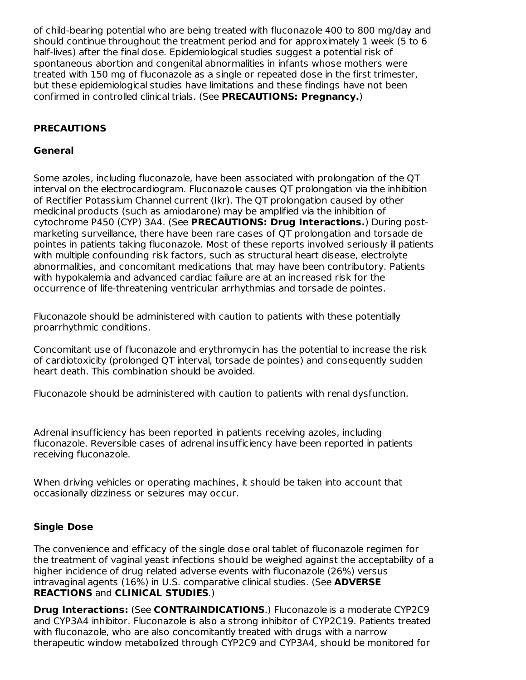of child-bearing potential who are being treated with fluconazole 400 to 800 mg/day and should continue throughout the treatment period and for approximately 1 week (5 to 6 half-lives) after the final dose. Epidemiological studies suggest a potential risk of spontaneous abortion and congenital abnormalities in infants whose mothers were treated with 150 mg of fluconazole as a single or repeated dose in the first trimester, but these epidemiological studies have limitations and these findings have not been confirmed in controlled clinical trials. (See **PRECAUTIONS: Pregnancy.**)

# **PRECAUTIONS**

## **General**

Some azoles, including fluconazole, have been associated with prolongation of the QT interval on the electrocardiogram. Fluconazole causes QT prolongation via the inhibition of Rectifier Potassium Channel current (Ikr). The QT prolongation caused by other medicinal products (such as amiodarone) may be amplified via the inhibition of cytochrome P450 (CYP) 3A4. (See **PRECAUTIONS: Drug Interactions.**) During postmarketing surveillance, there have been rare cases of QT prolongation and torsade de pointes in patients taking fluconazole. Most of these reports involved seriously ill patients with multiple confounding risk factors, such as structural heart disease, electrolyte abnormalities, and concomitant medications that may have been contributory. Patients with hypokalemia and advanced cardiac failure are at an increased risk for the occurrence of life-threatening ventricular arrhythmias and torsade de pointes.

Fluconazole should be administered with caution to patients with these potentially proarrhythmic conditions.

Concomitant use of fluconazole and erythromycin has the potential to increase the risk of cardiotoxicity (prolonged QT interval, torsade de pointes) and consequently sudden heart death. This combination should be avoided.

Fluconazole should be administered with caution to patients with renal dysfunction.

Adrenal insufficiency has been reported in patients receiving azoles, including fluconazole. Reversible cases of adrenal insufficiency have been reported in patients receiving fluconazole.

When driving vehicles or operating machines, it should be taken into account that occasionally dizziness or seizures may occur.

# **Single Dose**

The convenience and efficacy of the single dose oral tablet of fluconazole regimen for the treatment of vaginal yeast infections should be weighed against the acceptability of a higher incidence of drug related adverse events with fluconazole (26%) versus intravaginal agents (16%) in U.S. comparative clinical studies. (See **ADVERSE REACTIONS** and **CLINICAL STUDIES**.)

**Drug Interactions:** (See **CONTRAINDICATIONS**.) Fluconazole is a moderate CYP2C9 and CYP3A4 inhibitor. Fluconazole is also a strong inhibitor of CYP2C19. Patients treated with fluconazole, who are also concomitantly treated with drugs with a narrow therapeutic window metabolized through CYP2C9 and CYP3A4, should be monitored for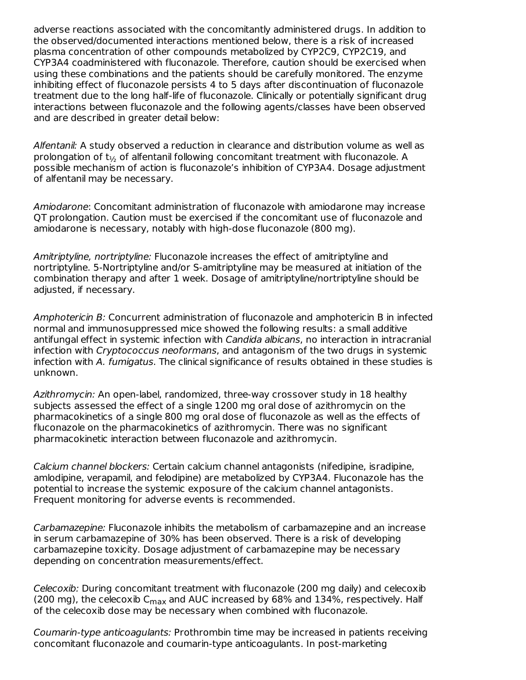adverse reactions associated with the concomitantly administered drugs. In addition to the observed/documented interactions mentioned below, there is a risk of increased plasma concentration of other compounds metabolized by CYP2C9, CYP2C19, and CYP3A4 coadministered with fluconazole. Therefore, caution should be exercised when using these combinations and the patients should be carefully monitored. The enzyme inhibiting effect of fluconazole persists 4 to 5 days after discontinuation of fluconazole treatment due to the long half-life of fluconazole. Clinically or potentially significant drug interactions between fluconazole and the following agents/classes have been observed and are described in greater detail below:

Alfentanil: A study observed a reduction in clearance and distribution volume as well as prolongation of  $\mathrm{t}_{\mathrm{\mathrm{\mathit{i}}_2}}$  of alfentanil following concomitant treatment with fluconazole. A possible mechanism of action is fluconazole's inhibition of CYP3A4. Dosage adjustment of alfentanil may be necessary.

Amiodarone: Concomitant administration of fluconazole with amiodarone may increase QT prolongation. Caution must be exercised if the concomitant use of fluconazole and amiodarone is necessary, notably with high-dose fluconazole (800 mg).

Amitriptyline, nortriptyline: Fluconazole increases the effect of amitriptyline and nortriptyline. 5-Nortriptyline and/or S-amitriptyline may be measured at initiation of the combination therapy and after 1 week. Dosage of amitriptyline/nortriptyline should be adjusted, if necessary.

Amphotericin B: Concurrent administration of fluconazole and amphotericin B in infected normal and immunosuppressed mice showed the following results: a small additive antifungal effect in systemic infection with Candida albicans, no interaction in intracranial infection with Cryptococcus neoformans, and antagonism of the two drugs in systemic infection with A. fumigatus. The clinical significance of results obtained in these studies is unknown.

Azithromycin: An open-label, randomized, three-way crossover study in 18 healthy subjects assessed the effect of a single 1200 mg oral dose of azithromycin on the pharmacokinetics of a single 800 mg oral dose of fluconazole as well as the effects of fluconazole on the pharmacokinetics of azithromycin. There was no significant pharmacokinetic interaction between fluconazole and azithromycin.

Calcium channel blockers: Certain calcium channel antagonists (nifedipine, isradipine, amlodipine, verapamil, and felodipine) are metabolized by CYP3A4. Fluconazole has the potential to increase the systemic exposure of the calcium channel antagonists. Frequent monitoring for adverse events is recommended.

Carbamazepine: Fluconazole inhibits the metabolism of carbamazepine and an increase in serum carbamazepine of 30% has been observed. There is a risk of developing carbamazepine toxicity. Dosage adjustment of carbamazepine may be necessary depending on concentration measurements/effect.

Celecoxib: During concomitant treatment with fluconazole (200 mg daily) and celecoxib (200 mg), the celecoxib C $_{\sf max}$  and AUC increased by 68% and 134%, respectively. Half of the celecoxib dose may be necessary when combined with fluconazole.

Coumarin-type anticoagulants: Prothrombin time may be increased in patients receiving concomitant fluconazole and coumarin-type anticoagulants. In post-marketing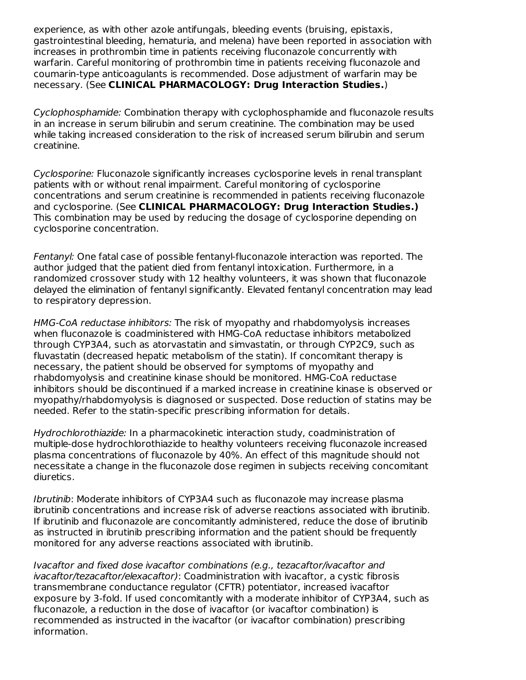experience, as with other azole antifungals, bleeding events (bruising, epistaxis, gastrointestinal bleeding, hematuria, and melena) have been reported in association with increases in prothrombin time in patients receiving fluconazole concurrently with warfarin. Careful monitoring of prothrombin time in patients receiving fluconazole and coumarin-type anticoagulants is recommended. Dose adjustment of warfarin may be necessary. (See **CLINICAL PHARMACOLOGY: Drug Interaction Studies.**)

Cyclophosphamide: Combination therapy with cyclophosphamide and fluconazole results in an increase in serum bilirubin and serum creatinine. The combination may be used while taking increased consideration to the risk of increased serum bilirubin and serum creatinine.

Cyclosporine: Fluconazole significantly increases cyclosporine levels in renal transplant patients with or without renal impairment. Careful monitoring of cyclosporine concentrations and serum creatinine is recommended in patients receiving fluconazole and cyclosporine. (See **CLINICAL PHARMACOLOGY: Drug Interaction Studies.)** This combination may be used by reducing the dosage of cyclosporine depending on cyclosporine concentration.

Fentanyl: One fatal case of possible fentanyl-fluconazole interaction was reported. The author judged that the patient died from fentanyl intoxication. Furthermore, in a randomized crossover study with 12 healthy volunteers, it was shown that fluconazole delayed the elimination of fentanyl significantly. Elevated fentanyl concentration may lead to respiratory depression.

HMG-CoA reductase inhibitors: The risk of myopathy and rhabdomyolysis increases when fluconazole is coadministered with HMG-CoA reductase inhibitors metabolized through CYP3A4, such as atorvastatin and simvastatin, or through CYP2C9, such as fluvastatin (decreased hepatic metabolism of the statin). If concomitant therapy is necessary, the patient should be observed for symptoms of myopathy and rhabdomyolysis and creatinine kinase should be monitored. HMG-CoA reductase inhibitors should be discontinued if a marked increase in creatinine kinase is observed or myopathy/rhabdomyolysis is diagnosed or suspected. Dose reduction of statins may be needed. Refer to the statin-specific prescribing information for details.

Hydrochlorothiazide: In a pharmacokinetic interaction study, coadministration of multiple-dose hydrochlorothiazide to healthy volunteers receiving fluconazole increased plasma concentrations of fluconazole by 40%. An effect of this magnitude should not necessitate a change in the fluconazole dose regimen in subjects receiving concomitant diuretics.

Ibrutinib: Moderate inhibitors of CYP3A4 such as fluconazole may increase plasma ibrutinib concentrations and increase risk of adverse reactions associated with ibrutinib. If ibrutinib and fluconazole are concomitantly administered, reduce the dose of ibrutinib as instructed in ibrutinib prescribing information and the patient should be frequently monitored for any adverse reactions associated with ibrutinib.

Ivacaftor and fixed dose ivacaftor combinations (e.g., tezacaftor/ivacaftor and ivacaftor/tezacaftor/elexacaftor): Coadministration with ivacaftor, a cystic fibrosis transmembrane conductance regulator (CFTR) potentiator, increased ivacaftor exposure by 3-fold. If used concomitantly with a moderate inhibitor of CYP3A4, such as fluconazole, a reduction in the dose of ivacaftor (or ivacaftor combination) is recommended as instructed in the ivacaftor (or ivacaftor combination) prescribing information.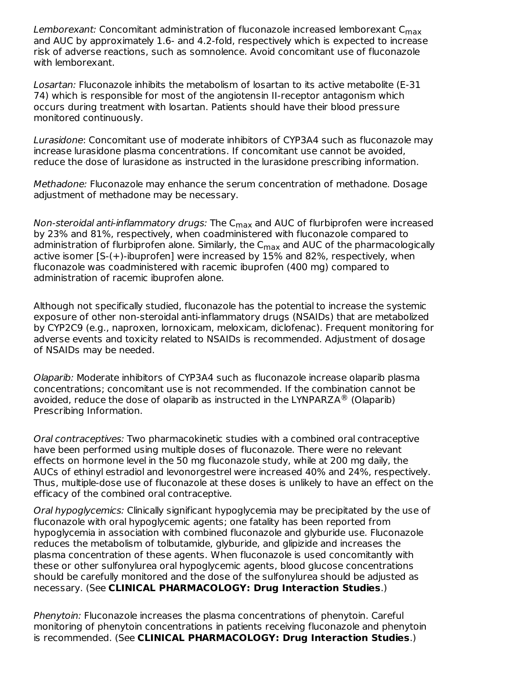L*emborexant:* Concomitant administration of fluconazole increased lemborexant C<sub>max</sub> and AUC by approximately 1.6- and 4.2-fold, respectively which is expected to increase risk of adverse reactions, such as somnolence. Avoid concomitant use of fluconazole with lemborexant.

Losartan: Fluconazole inhibits the metabolism of losartan to its active metabolite (E-31 74) which is responsible for most of the angiotensin II-receptor antagonism which occurs during treatment with losartan. Patients should have their blood pressure monitored continuously.

Lurasidone: Concomitant use of moderate inhibitors of CYP3A4 such as fluconazole may increase lurasidone plasma concentrations. If concomitant use cannot be avoided, reduce the dose of lurasidone as instructed in the lurasidone prescribing information.

Methadone: Fluconazole may enhance the serum concentration of methadone. Dosage adjustment of methadone may be necessary.

Non-steroidal anti-inflammatory drugs: The C<sub>max</sub> and AUC of flurbiprofen were increased by 23% and 81%, respectively, when coadministered with fluconazole compared to administration of flurbiprofen alone. Similarly, the C<sub>max</sub> and AUC of the pharmacologically active isomer [S-(+)-ibuprofen] were increased by 15% and 82%, respectively, when fluconazole was coadministered with racemic ibuprofen (400 mg) compared to administration of racemic ibuprofen alone.

Although not specifically studied, fluconazole has the potential to increase the systemic exposure of other non-steroidal anti-inflammatory drugs (NSAIDs) that are metabolized by CYP2C9 (e.g., naproxen, lornoxicam, meloxicam, diclofenac). Frequent monitoring for adverse events and toxicity related to NSAIDs is recommended. Adjustment of dosage of NSAIDs may be needed.

Olaparib: Moderate inhibitors of CYP3A4 such as fluconazole increase olaparib plasma concentrations; concomitant use is not recommended. If the combination cannot be avoided, reduce the dose of olaparib as instructed in the LYNPARZA $\textcircled{\tiny{\textcircled{\tiny{R}}}}$  (Olaparib) Prescribing Information.

Oral contraceptives: Two pharmacokinetic studies with a combined oral contraceptive have been performed using multiple doses of fluconazole. There were no relevant effects on hormone level in the 50 mg fluconazole study, while at 200 mg daily, the AUCs of ethinyl estradiol and levonorgestrel were increased 40% and 24%, respectively. Thus, multiple-dose use of fluconazole at these doses is unlikely to have an effect on the efficacy of the combined oral contraceptive.

Oral hypoglycemics: Clinically significant hypoglycemia may be precipitated by the use of fluconazole with oral hypoglycemic agents; one fatality has been reported from hypoglycemia in association with combined fluconazole and glyburide use. Fluconazole reduces the metabolism of tolbutamide, glyburide, and glipizide and increases the plasma concentration of these agents. When fluconazole is used concomitantly with these or other sulfonylurea oral hypoglycemic agents, blood glucose concentrations should be carefully monitored and the dose of the sulfonylurea should be adjusted as necessary. (See **CLINICAL PHARMACOLOGY: Drug Interaction Studies**.)

Phenytoin: Fluconazole increases the plasma concentrations of phenytoin. Careful monitoring of phenytoin concentrations in patients receiving fluconazole and phenytoin is recommended. (See **CLINICAL PHARMACOLOGY: Drug Interaction Studies**.)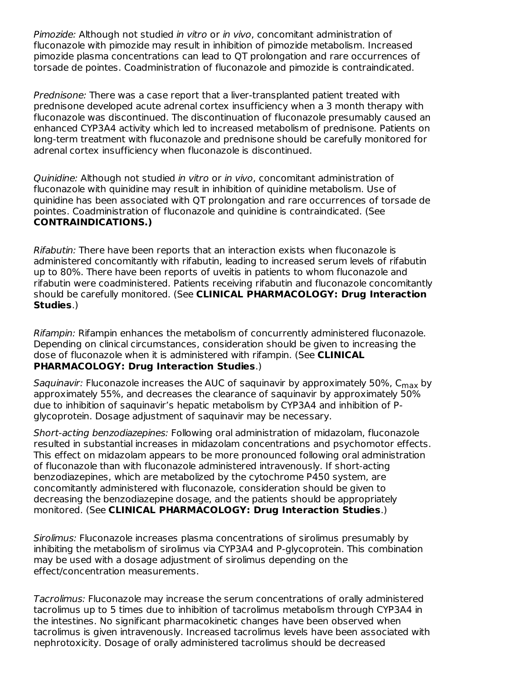Pimozide: Although not studied in vitro or in vivo, concomitant administration of fluconazole with pimozide may result in inhibition of pimozide metabolism. Increased pimozide plasma concentrations can lead to QT prolongation and rare occurrences of torsade de pointes. Coadministration of fluconazole and pimozide is contraindicated.

Prednisone: There was a case report that a liver-transplanted patient treated with prednisone developed acute adrenal cortex insufficiency when a 3 month therapy with fluconazole was discontinued. The discontinuation of fluconazole presumably caused an enhanced CYP3A4 activity which led to increased metabolism of prednisone. Patients on long-term treatment with fluconazole and prednisone should be carefully monitored for adrenal cortex insufficiency when fluconazole is discontinued.

Quinidine: Although not studied in vitro or in vivo, concomitant administration of fluconazole with quinidine may result in inhibition of quinidine metabolism. Use of quinidine has been associated with QT prolongation and rare occurrences of torsade de pointes. Coadministration of fluconazole and quinidine is contraindicated. (See **CONTRAINDICATIONS.)**

Rifabutin: There have been reports that an interaction exists when fluconazole is administered concomitantly with rifabutin, leading to increased serum levels of rifabutin up to 80%. There have been reports of uveitis in patients to whom fluconazole and rifabutin were coadministered. Patients receiving rifabutin and fluconazole concomitantly should be carefully monitored. (See **CLINICAL PHARMACOLOGY: Drug Interaction Studies**.)

Rifampin: Rifampin enhances the metabolism of concurrently administered fluconazole. Depending on clinical circumstances, consideration should be given to increasing the dose of fluconazole when it is administered with rifampin. (See **CLINICAL PHARMACOLOGY: Drug Interaction Studies**.)

*Saquinavir:* Fluconazole increases the AUC of saquinavir by approximately 50%, C<sub>max</sub> by approximately 55%, and decreases the clearance of saquinavir by approximately 50% due to inhibition of saquinavir's hepatic metabolism by CYP3A4 and inhibition of Pglycoprotein. Dosage adjustment of saquinavir may be necessary.

Short-acting benzodiazepines: Following oral administration of midazolam, fluconazole resulted in substantial increases in midazolam concentrations and psychomotor effects. This effect on midazolam appears to be more pronounced following oral administration of fluconazole than with fluconazole administered intravenously. If short-acting benzodiazepines, which are metabolized by the cytochrome P450 system, are concomitantly administered with fluconazole, consideration should be given to decreasing the benzodiazepine dosage, and the patients should be appropriately monitored. (See **CLINICAL PHARMACOLOGY: Drug Interaction Studies**.)

Sirolimus: Fluconazole increases plasma concentrations of sirolimus presumably by inhibiting the metabolism of sirolimus via CYP3A4 and P-glycoprotein. This combination may be used with a dosage adjustment of sirolimus depending on the effect/concentration measurements.

Tacrolimus: Fluconazole may increase the serum concentrations of orally administered tacrolimus up to 5 times due to inhibition of tacrolimus metabolism through CYP3A4 in the intestines. No significant pharmacokinetic changes have been observed when tacrolimus is given intravenously. Increased tacrolimus levels have been associated with nephrotoxicity. Dosage of orally administered tacrolimus should be decreased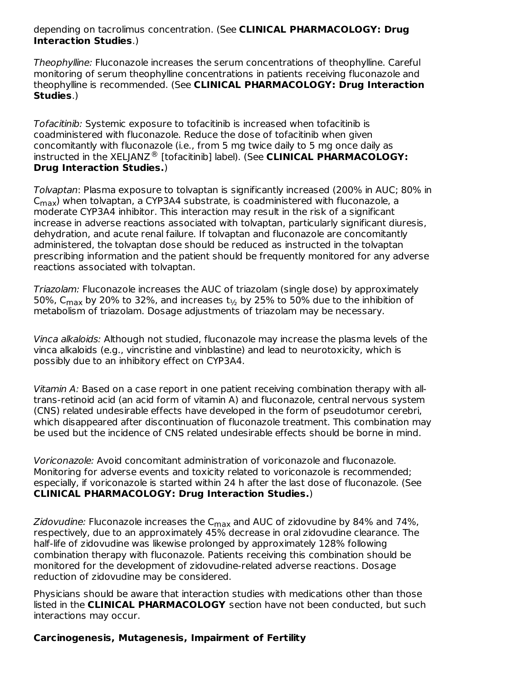#### depending on tacrolimus concentration. (See **CLINICAL PHARMACOLOGY: Drug Interaction Studies**.)

Theophylline: Fluconazole increases the serum concentrations of theophylline. Careful monitoring of serum theophylline concentrations in patients receiving fluconazole and theophylline is recommended. (See **CLINICAL PHARMACOLOGY: Drug Interaction Studies**.)

Tofacitinib: Systemic exposure to tofacitinib is increased when tofacitinib is coadministered with fluconazole. Reduce the dose of tofacitinib when given concomitantly with fluconazole (i.e., from 5 mg twice daily to 5 mg once daily as instructed in the XELJANZ<sup>®</sup> [tofacitinib] label). (See CLINICAL PHARMACOLOGY: **Drug Interaction Studies.**)

Tolvaptan: Plasma exposure to tolvaptan is significantly increased (200% in AUC; 80% in  $\mathsf{C}_{\mathsf{max}}$ ) when tolvaptan, a CYP3A4 substrate, is coadministered with fluconazole, a moderate CYP3A4 inhibitor. This interaction may result in the risk of a significant increase in adverse reactions associated with tolvaptan, particularly significant diuresis, dehydration, and acute renal failure. If tolvaptan and fluconazole are concomitantly administered, the tolvaptan dose should be reduced as instructed in the tolvaptan prescribing information and the patient should be frequently monitored for any adverse reactions associated with tolvaptan.

Triazolam: Fluconazole increases the AUC of triazolam (single dose) by approximately 50%, C $_{\sf max}$  by 20% to 32%, and increases  ${\sf t}_{\nu_2}$  by 25% to 50% due to the inhibition of metabolism of triazolam. Dosage adjustments of triazolam may be necessary.

Vinca alkaloids: Although not studied, fluconazole may increase the plasma levels of the vinca alkaloids (e.g., vincristine and vinblastine) and lead to neurotoxicity, which is possibly due to an inhibitory effect on CYP3A4.

Vitamin A: Based on a case report in one patient receiving combination therapy with alltrans-retinoid acid (an acid form of vitamin A) and fluconazole, central nervous system (CNS) related undesirable effects have developed in the form of pseudotumor cerebri, which disappeared after discontinuation of fluconazole treatment. This combination may be used but the incidence of CNS related undesirable effects should be borne in mind.

Voriconazole: Avoid concomitant administration of voriconazole and fluconazole. Monitoring for adverse events and toxicity related to voriconazole is recommended; especially, if voriconazole is started within 24 h after the last dose of fluconazole. (See **CLINICAL PHARMACOLOGY: Drug Interaction Studies.**)

*Zidovudine:* Fluconazole increases the C $_{\sf max}$  and AUC of zidovudine by 84% and 74%, respectively, due to an approximately 45% decrease in oral zidovudine clearance. The half-life of zidovudine was likewise prolonged by approximately 128% following combination therapy with fluconazole. Patients receiving this combination should be monitored for the development of zidovudine-related adverse reactions. Dosage reduction of zidovudine may be considered.

Physicians should be aware that interaction studies with medications other than those listed in the **CLINICAL PHARMACOLOGY** section have not been conducted, but such interactions may occur.

# **Carcinogenesis, Mutagenesis, Impairment of Fertility**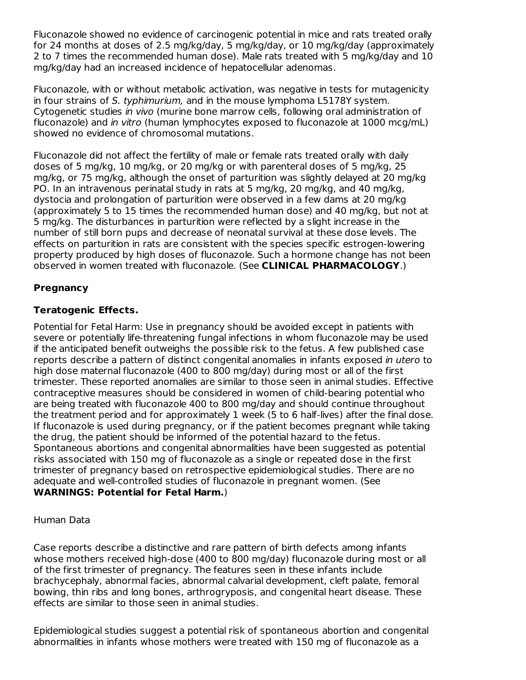Fluconazole showed no evidence of carcinogenic potential in mice and rats treated orally for 24 months at doses of 2.5 mg/kg/day, 5 mg/kg/day, or 10 mg/kg/day (approximately 2 to 7 times the recommended human dose). Male rats treated with 5 mg/kg/day and 10 mg/kg/day had an increased incidence of hepatocellular adenomas.

Fluconazole, with or without metabolic activation, was negative in tests for mutagenicity in four strains of S. typhimurium, and in the mouse lymphoma L5178Y system. Cytogenetic studies in vivo (murine bone marrow cells, following oral administration of fluconazole) and in vitro (human lymphocytes exposed to fluconazole at 1000 mcg/mL) showed no evidence of chromosomal mutations.

Fluconazole did not affect the fertility of male or female rats treated orally with daily doses of 5 mg/kg, 10 mg/kg, or 20 mg/kg or with parenteral doses of 5 mg/kg, 25 mg/kg, or 75 mg/kg, although the onset of parturition was slightly delayed at 20 mg/kg PO. In an intravenous perinatal study in rats at 5 mg/kg, 20 mg/kg, and 40 mg/kg, dystocia and prolongation of parturition were observed in a few dams at 20 mg/kg (approximately 5 to 15 times the recommended human dose) and 40 mg/kg, but not at 5 mg/kg. The disturbances in parturition were reflected by a slight increase in the number of still born pups and decrease of neonatal survival at these dose levels. The effects on parturition in rats are consistent with the species specific estrogen-lowering property produced by high doses of fluconazole. Such a hormone change has not been observed in women treated with fluconazole. (See **CLINICAL PHARMACOLOGY**.)

# **Pregnancy**

# **Teratogenic Effects.**

Potential for Fetal Harm: Use in pregnancy should be avoided except in patients with severe or potentially life-threatening fungal infections in whom fluconazole may be used if the anticipated benefit outweighs the possible risk to the fetus. A few published case reports describe a pattern of distinct congenital anomalies in infants exposed in utero to high dose maternal fluconazole (400 to 800 mg/day) during most or all of the first trimester. These reported anomalies are similar to those seen in animal studies. Effective contraceptive measures should be considered in women of child-bearing potential who are being treated with fluconazole 400 to 800 mg/day and should continue throughout the treatment period and for approximately 1 week (5 to 6 half-lives) after the final dose. If fluconazole is used during pregnancy, or if the patient becomes pregnant while taking the drug, the patient should be informed of the potential hazard to the fetus. Spontaneous abortions and congenital abnormalities have been suggested as potential risks associated with 150 mg of fluconazole as a single or repeated dose in the first trimester of pregnancy based on retrospective epidemiological studies. There are no adequate and well-controlled studies of fluconazole in pregnant women. (See **WARNINGS: Potential for Fetal Harm.**)

# Human Data

Case reports describe a distinctive and rare pattern of birth defects among infants whose mothers received high-dose (400 to 800 mg/day) fluconazole during most or all of the first trimester of pregnancy. The features seen in these infants include brachycephaly, abnormal facies, abnormal calvarial development, cleft palate, femoral bowing, thin ribs and long bones, arthrogryposis, and congenital heart disease. These effects are similar to those seen in animal studies.

Epidemiological studies suggest a potential risk of spontaneous abortion and congenital abnormalities in infants whose mothers were treated with 150 mg of fluconazole as a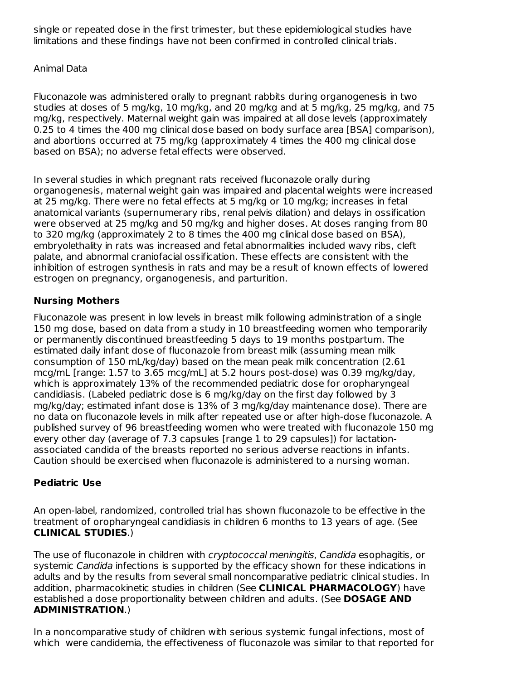single or repeated dose in the first trimester, but these epidemiological studies have limitations and these findings have not been confirmed in controlled clinical trials.

# Animal Data

Fluconazole was administered orally to pregnant rabbits during organogenesis in two studies at doses of 5 mg/kg, 10 mg/kg, and 20 mg/kg and at 5 mg/kg, 25 mg/kg, and 75 mg/kg, respectively. Maternal weight gain was impaired at all dose levels (approximately 0.25 to 4 times the 400 mg clinical dose based on body surface area [BSA] comparison), and abortions occurred at 75 mg/kg (approximately 4 times the 400 mg clinical dose based on BSA); no adverse fetal effects were observed.

In several studies in which pregnant rats received fluconazole orally during organogenesis, maternal weight gain was impaired and placental weights were increased at 25 mg/kg. There were no fetal effects at 5 mg/kg or 10 mg/kg; increases in fetal anatomical variants (supernumerary ribs, renal pelvis dilation) and delays in ossification were observed at 25 mg/kg and 50 mg/kg and higher doses. At doses ranging from 80 to 320 mg/kg (approximately 2 to 8 times the 400 mg clinical dose based on BSA), embryolethality in rats was increased and fetal abnormalities included wavy ribs, cleft palate, and abnormal craniofacial ossification. These effects are consistent with the inhibition of estrogen synthesis in rats and may be a result of known effects of lowered estrogen on pregnancy, organogenesis, and parturition.

# **Nursing Mothers**

Fluconazole was present in low levels in breast milk following administration of a single 150 mg dose, based on data from a study in 10 breastfeeding women who temporarily or permanently discontinued breastfeeding 5 days to 19 months postpartum. The estimated daily infant dose of fluconazole from breast milk (assuming mean milk consumption of 150 mL/kg/day) based on the mean peak milk concentration (2.61 mcg/mL [range: 1.57 to 3.65 mcg/mL] at 5.2 hours post-dose) was 0.39 mg/kg/day, which is approximately 13% of the recommended pediatric dose for oropharyngeal candidiasis. (Labeled pediatric dose is 6 mg/kg/day on the first day followed by 3 mg/kg/day; estimated infant dose is 13% of 3 mg/kg/day maintenance dose). There are no data on fluconazole levels in milk after repeated use or after high-dose fluconazole. A published survey of 96 breastfeeding women who were treated with fluconazole 150 mg every other day (average of 7.3 capsules [range 1 to 29 capsules]) for lactationassociated candida of the breasts reported no serious adverse reactions in infants. Caution should be exercised when fluconazole is administered to a nursing woman.

# **Pediatric Use**

An open-label, randomized, controlled trial has shown fluconazole to be effective in the treatment of oropharyngeal candidiasis in children 6 months to 13 years of age. (See **CLINICAL STUDIES**.)

The use of fluconazole in children with cryptococcal meningitis, Candida esophagitis, or systemic Candida infections is supported by the efficacy shown for these indications in adults and by the results from several small noncomparative pediatric clinical studies. In addition, pharmacokinetic studies in children (See **CLINICAL PHARMACOLOGY**) have established a dose proportionality between children and adults. (See **DOSAGE AND ADMINISTRATION**.)

In a noncomparative study of children with serious systemic fungal infections, most of which were candidemia, the effectiveness of fluconazole was similar to that reported for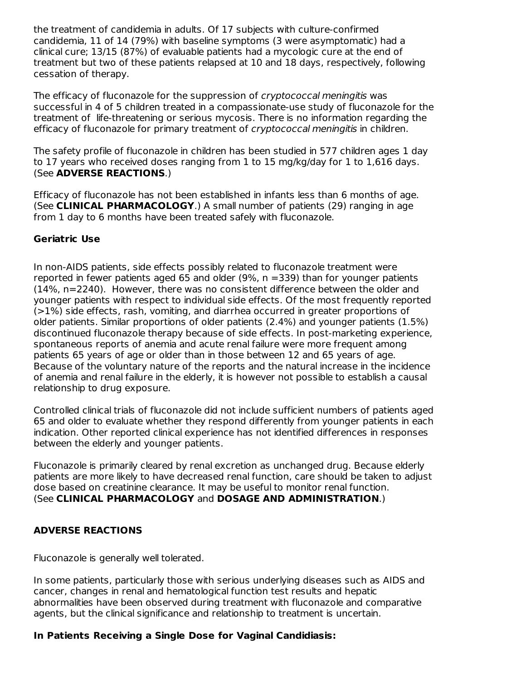the treatment of candidemia in adults. Of 17 subjects with culture-confirmed candidemia, 11 of 14 (79%) with baseline symptoms (3 were asymptomatic) had a clinical cure; 13/15 (87%) of evaluable patients had a mycologic cure at the end of treatment but two of these patients relapsed at 10 and 18 days, respectively, following cessation of therapy.

The efficacy of fluconazole for the suppression of *cryptococcal meningitis* was successful in 4 of 5 children treated in a compassionate-use study of fluconazole for the treatment of life-threatening or serious mycosis. There is no information regarding the efficacy of fluconazole for primary treatment of *cryptococcal meningitis* in children.

The safety profile of fluconazole in children has been studied in 577 children ages 1 day to 17 years who received doses ranging from 1 to 15 mg/kg/day for 1 to 1,616 days. (See **ADVERSE REACTIONS**.)

Efficacy of fluconazole has not been established in infants less than 6 months of age. (See **CLINICAL PHARMACOLOGY**.) A small number of patients (29) ranging in age from 1 day to 6 months have been treated safely with fluconazole.

# **Geriatric Use**

In non-AIDS patients, side effects possibly related to fluconazole treatment were reported in fewer patients aged 65 and older ( $9\%$ ,  $n = 339$ ) than for younger patients (14%, n=2240). However, there was no consistent difference between the older and younger patients with respect to individual side effects. Of the most frequently reported (>1%) side effects, rash, vomiting, and diarrhea occurred in greater proportions of older patients. Similar proportions of older patients (2.4%) and younger patients (1.5%) discontinued fluconazole therapy because of side effects. In post-marketing experience, spontaneous reports of anemia and acute renal failure were more frequent among patients 65 years of age or older than in those between 12 and 65 years of age. Because of the voluntary nature of the reports and the natural increase in the incidence of anemia and renal failure in the elderly, it is however not possible to establish a causal relationship to drug exposure.

Controlled clinical trials of fluconazole did not include sufficient numbers of patients aged 65 and older to evaluate whether they respond differently from younger patients in each indication. Other reported clinical experience has not identified differences in responses between the elderly and younger patients.

Fluconazole is primarily cleared by renal excretion as unchanged drug. Because elderly patients are more likely to have decreased renal function, care should be taken to adjust dose based on creatinine clearance. It may be useful to monitor renal function. (See **CLINICAL PHARMACOLOGY** and **DOSAGE AND ADMINISTRATION**.)

# **ADVERSE REACTIONS**

Fluconazole is generally well tolerated.

In some patients, particularly those with serious underlying diseases such as AIDS and cancer, changes in renal and hematological function test results and hepatic abnormalities have been observed during treatment with fluconazole and comparative agents, but the clinical significance and relationship to treatment is uncertain.

# **In Patients Receiving a Single Dose for Vaginal Candidiasis:**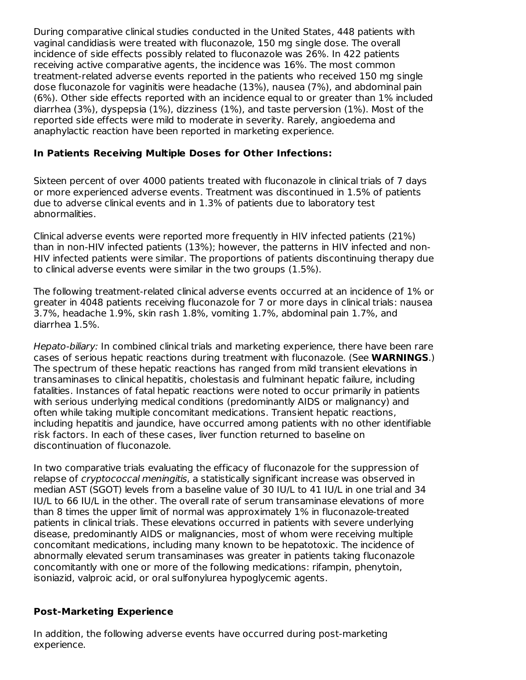During comparative clinical studies conducted in the United States, 448 patients with vaginal candidiasis were treated with fluconazole, 150 mg single dose. The overall incidence of side effects possibly related to fluconazole was 26%. In 422 patients receiving active comparative agents, the incidence was 16%. The most common treatment-related adverse events reported in the patients who received 150 mg single dose fluconazole for vaginitis were headache (13%), nausea (7%), and abdominal pain (6%). Other side effects reported with an incidence equal to or greater than 1% included diarrhea (3%), dyspepsia (1%), dizziness (1%), and taste perversion (1%). Most of the reported side effects were mild to moderate in severity. Rarely, angioedema and anaphylactic reaction have been reported in marketing experience.

# **In Patients Receiving Multiple Doses for Other Infections:**

Sixteen percent of over 4000 patients treated with fluconazole in clinical trials of 7 days or more experienced adverse events. Treatment was discontinued in 1.5% of patients due to adverse clinical events and in 1.3% of patients due to laboratory test abnormalities.

Clinical adverse events were reported more frequently in HIV infected patients (21%) than in non-HIV infected patients (13%); however, the patterns in HIV infected and non-HIV infected patients were similar. The proportions of patients discontinuing therapy due to clinical adverse events were similar in the two groups (1.5%).

The following treatment-related clinical adverse events occurred at an incidence of 1% or greater in 4048 patients receiving fluconazole for 7 or more days in clinical trials: nausea 3.7%, headache 1.9%, skin rash 1.8%, vomiting 1.7%, abdominal pain 1.7%, and diarrhea 1.5%.

Hepato-biliary: In combined clinical trials and marketing experience, there have been rare cases of serious hepatic reactions during treatment with fluconazole. (See **WARNINGS**.) The spectrum of these hepatic reactions has ranged from mild transient elevations in transaminases to clinical hepatitis, cholestasis and fulminant hepatic failure, including fatalities. Instances of fatal hepatic reactions were noted to occur primarily in patients with serious underlying medical conditions (predominantly AIDS or malignancy) and often while taking multiple concomitant medications. Transient hepatic reactions, including hepatitis and jaundice, have occurred among patients with no other identifiable risk factors. In each of these cases, liver function returned to baseline on discontinuation of fluconazole.

In two comparative trials evaluating the efficacy of fluconazole for the suppression of relapse of *cryptococcal meningitis*, a statistically significant increase was observed in median AST (SGOT) levels from a baseline value of 30 IU/L to 41 IU/L in one trial and 34 IU/L to 66 IU/L in the other. The overall rate of serum transaminase elevations of more than 8 times the upper limit of normal was approximately 1% in fluconazole-treated patients in clinical trials. These elevations occurred in patients with severe underlying disease, predominantly AIDS or malignancies, most of whom were receiving multiple concomitant medications, including many known to be hepatotoxic. The incidence of abnormally elevated serum transaminases was greater in patients taking fluconazole concomitantly with one or more of the following medications: rifampin, phenytoin, isoniazid, valproic acid, or oral sulfonylurea hypoglycemic agents.

# **Post-Marketing Experience**

In addition, the following adverse events have occurred during post-marketing experience.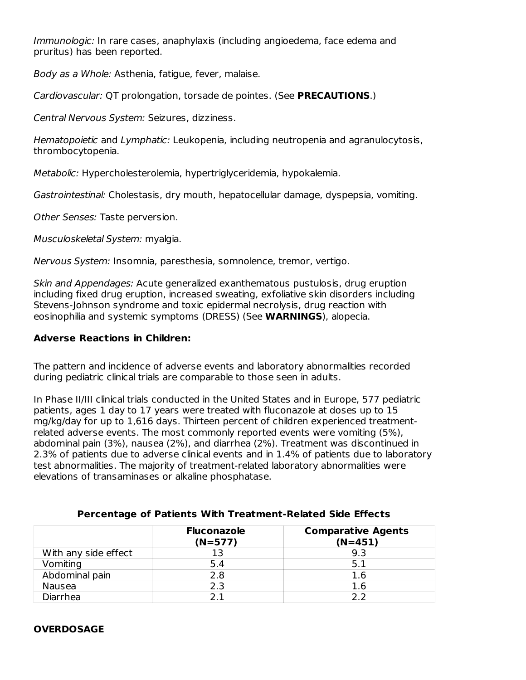Immunologic: In rare cases, anaphylaxis (including angioedema, face edema and pruritus) has been reported.

Body as a Whole: Asthenia, fatigue, fever, malaise.

Cardiovascular: QT prolongation, torsade de pointes. (See **PRECAUTIONS**.)

Central Nervous System: Seizures, dizziness.

Hematopoietic and Lymphatic: Leukopenia, including neutropenia and agranulocytosis, thrombocytopenia.

Metabolic: Hypercholesterolemia, hypertriglyceridemia, hypokalemia.

Gastrointestinal: Cholestasis, dry mouth, hepatocellular damage, dyspepsia, vomiting.

Other Senses: Taste perversion.

Musculoskeletal System: myalgia.

Nervous System: Insomnia, paresthesia, somnolence, tremor, vertigo.

Skin and Appendages: Acute generalized exanthematous pustulosis, drug eruption including fixed drug eruption, increased sweating, exfoliative skin disorders including Stevens-Johnson syndrome and toxic epidermal necrolysis, drug reaction with eosinophilia and systemic symptoms (DRESS) (See **WARNINGS**), alopecia.

## **Adverse Reactions in Children:**

The pattern and incidence of adverse events and laboratory abnormalities recorded during pediatric clinical trials are comparable to those seen in adults.

In Phase II/III clinical trials conducted in the United States and in Europe, 577 pediatric patients, ages 1 day to 17 years were treated with fluconazole at doses up to 15 mg/kg/day for up to 1,616 days. Thirteen percent of children experienced treatmentrelated adverse events. The most commonly reported events were vomiting (5%), abdominal pain (3%), nausea (2%), and diarrhea (2%). Treatment was discontinued in 2.3% of patients due to adverse clinical events and in 1.4% of patients due to laboratory test abnormalities. The majority of treatment-related laboratory abnormalities were elevations of transaminases or alkaline phosphatase.

|                      | <b>Fluconazole</b><br>$(N=577)$ | <b>Comparative Agents</b><br>$(N=451)$ |
|----------------------|---------------------------------|----------------------------------------|
| With any side effect | 13                              | 9.3                                    |
| Vomiting             | 5.4                             | 5.1                                    |
| Abdominal pain       | 2.8                             | 1.6                                    |
| Nausea               | 2.3                             | 1.6                                    |
| Diarrhea             |                                 | ר כ                                    |

#### **Percentage of Patients With Treatment-Related Side Effects**

#### **OVERDOSAGE**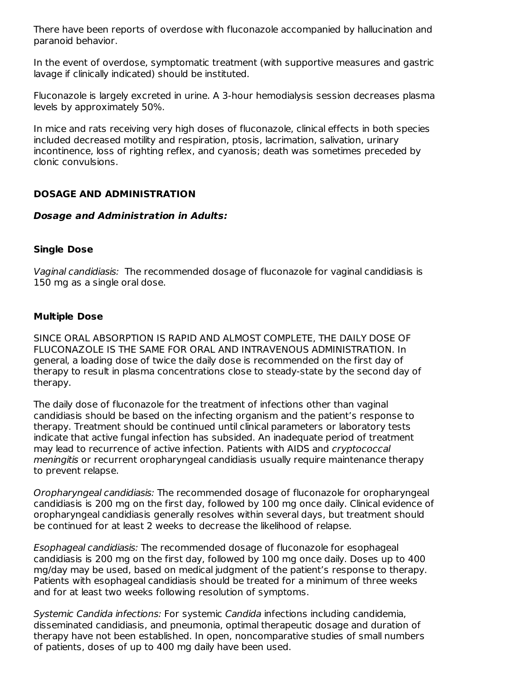There have been reports of overdose with fluconazole accompanied by hallucination and paranoid behavior.

In the event of overdose, symptomatic treatment (with supportive measures and gastric lavage if clinically indicated) should be instituted.

Fluconazole is largely excreted in urine. A 3-hour hemodialysis session decreases plasma levels by approximately 50%.

In mice and rats receiving very high doses of fluconazole, clinical effects in both species included decreased motility and respiration, ptosis, lacrimation, salivation, urinary incontinence, loss of righting reflex, and cyanosis; death was sometimes preceded by clonic convulsions.

## **DOSAGE AND ADMINISTRATION**

#### **Dosage and Administration in Adults:**

#### **Single Dose**

Vaginal candidiasis: The recommended dosage of fluconazole for vaginal candidiasis is 150 mg as a single oral dose.

#### **Multiple Dose**

SINCE ORAL ABSORPTION IS RAPID AND ALMOST COMPLETE, THE DAILY DOSE OF FLUCONAZOLE IS THE SAME FOR ORAL AND INTRAVENOUS ADMINISTRATION. In general, a loading dose of twice the daily dose is recommended on the first day of therapy to result in plasma concentrations close to steady-state by the second day of therapy.

The daily dose of fluconazole for the treatment of infections other than vaginal candidiasis should be based on the infecting organism and the patient's response to therapy. Treatment should be continued until clinical parameters or laboratory tests indicate that active fungal infection has subsided. An inadequate period of treatment may lead to recurrence of active infection. Patients with AIDS and cryptococcal meningitis or recurrent oropharyngeal candidiasis usually require maintenance therapy to prevent relapse.

Oropharyngeal candidiasis: The recommended dosage of fluconazole for oropharyngeal candidiasis is 200 mg on the first day, followed by 100 mg once daily. Clinical evidence of oropharyngeal candidiasis generally resolves within several days, but treatment should be continued for at least 2 weeks to decrease the likelihood of relapse.

Esophageal candidiasis: The recommended dosage of fluconazole for esophageal candidiasis is 200 mg on the first day, followed by 100 mg once daily. Doses up to 400 mg/day may be used, based on medical judgment of the patient's response to therapy. Patients with esophageal candidiasis should be treated for a minimum of three weeks and for at least two weeks following resolution of symptoms.

Systemic Candida infections: For systemic Candida infections including candidemia, disseminated candidiasis, and pneumonia, optimal therapeutic dosage and duration of therapy have not been established. In open, noncomparative studies of small numbers of patients, doses of up to 400 mg daily have been used.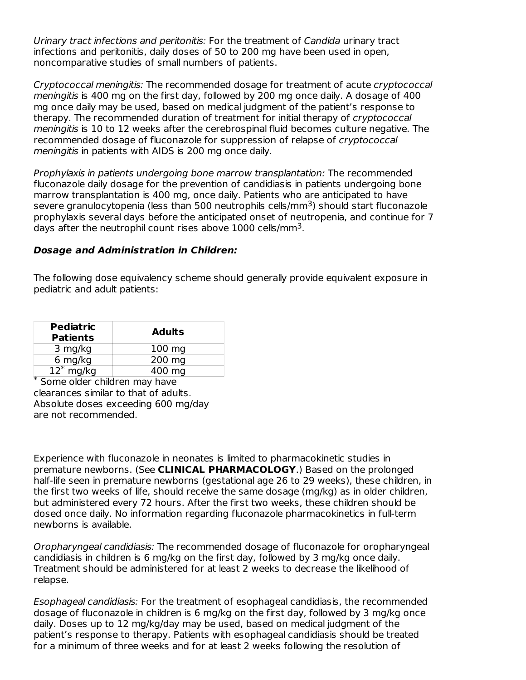Urinary tract infections and peritonitis: For the treatment of Candida urinary tract infections and peritonitis, daily doses of 50 to 200 mg have been used in open, noncomparative studies of small numbers of patients.

Cryptococcal meningitis: The recommended dosage for treatment of acute cryptococcal meningitis is 400 mg on the first day, followed by 200 mg once daily. A dosage of 400 mg once daily may be used, based on medical judgment of the patient's response to therapy. The recommended duration of treatment for initial therapy of cryptococcal meningitis is 10 to 12 weeks after the cerebrospinal fluid becomes culture negative. The recommended dosage of fluconazole for suppression of relapse of cryptococcal meningitis in patients with AIDS is 200 mg once daily.

Prophylaxis in patients undergoing bone marrow transplantation: The recommended fluconazole daily dosage for the prevention of candidiasis in patients undergoing bone marrow transplantation is 400 mg, once daily. Patients who are anticipated to have severe granulocytopenia (less than 500 neutrophils cells/mm<sup>3</sup>) should start fluconazole prophylaxis several days before the anticipated onset of neutropenia, and continue for 7 days after the neutrophil count rises above  $1000$  cells/mm<sup>3</sup>.

## **Dosage and Administration in Children:**

The following dose equivalency scheme should generally provide equivalent exposure in pediatric and adult patients:

| <b>Pediatric</b><br><b>Patients</b> | <b>Adults</b>    |
|-------------------------------------|------------------|
| 3 mg/kg                             | $100 \text{ mg}$ |
| 6 mg/kg                             | 200 mg           |
| $12^*$ mg/kg<br>$\overline{11}$     | 400 mg           |

Some older children may have \* clearances similar to that of adults. Absolute doses exceeding 600 mg/day are not recommended.

Experience with fluconazole in neonates is limited to pharmacokinetic studies in premature newborns. (See **CLINICAL PHARMACOLOGY**.) Based on the prolonged half-life seen in premature newborns (gestational age 26 to 29 weeks), these children, in the first two weeks of life, should receive the same dosage (mg/kg) as in older children, but administered every 72 hours. After the first two weeks, these children should be dosed once daily. No information regarding fluconazole pharmacokinetics in full-term newborns is available.

Oropharyngeal candidiasis: The recommended dosage of fluconazole for oropharyngeal candidiasis in children is 6 mg/kg on the first day, followed by 3 mg/kg once daily. Treatment should be administered for at least 2 weeks to decrease the likelihood of relapse.

Esophageal candidiasis: For the treatment of esophageal candidiasis, the recommended dosage of fluconazole in children is 6 mg/kg on the first day, followed by 3 mg/kg once daily. Doses up to 12 mg/kg/day may be used, based on medical judgment of the patient's response to therapy. Patients with esophageal candidiasis should be treated for a minimum of three weeks and for at least 2 weeks following the resolution of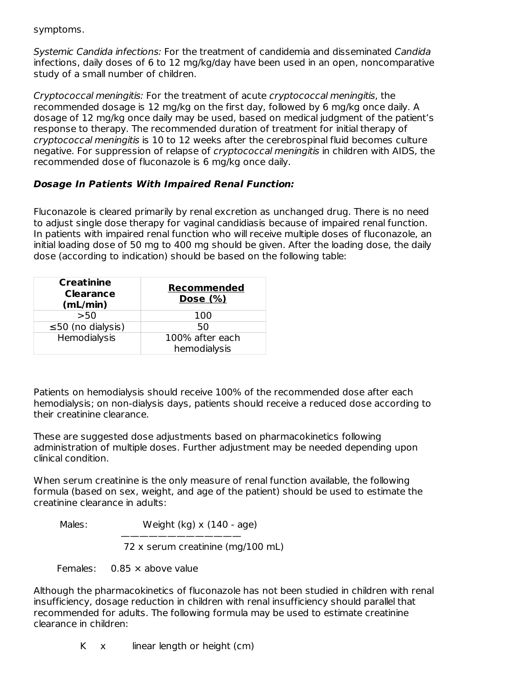symptoms.

Systemic Candida infections: For the treatment of candidemia and disseminated Candida infections, daily doses of 6 to 12 mg/kg/day have been used in an open, noncomparative study of a small number of children.

Cryptococcal meningitis: For the treatment of acute cryptococcal meningitis, the recommended dosage is 12 mg/kg on the first day, followed by 6 mg/kg once daily. A dosage of 12 mg/kg once daily may be used, based on medical judgment of the patient's response to therapy. The recommended duration of treatment for initial therapy of cryptococcal meningitis is 10 to 12 weeks after the cerebrospinal fluid becomes culture negative. For suppression of relapse of cryptococcal meningitis in children with AIDS, the recommended dose of fluconazole is 6 mg/kg once daily.

## **Dosage In Patients With Impaired Renal Function:**

Fluconazole is cleared primarily by renal excretion as unchanged drug. There is no need to adjust single dose therapy for vaginal candidiasis because of impaired renal function. In patients with impaired renal function who will receive multiple doses of fluconazole, an initial loading dose of 50 mg to 400 mg should be given. After the loading dose, the daily dose (according to indication) should be based on the following table:

| <b>Creatinine</b><br><b>Clearance</b><br>(mL/min) | <b>Recommended</b><br>Dose $(\%)$ |
|---------------------------------------------------|-----------------------------------|
| >50                                               | 100                               |
| $\leq$ 50 (no dialysis)                           | 50                                |
| Hemodialysis                                      | 100% after each                   |
|                                                   | hemodialysis                      |

Patients on hemodialysis should receive 100% of the recommended dose after each hemodialysis; on non-dialysis days, patients should receive a reduced dose according to their creatinine clearance.

These are suggested dose adjustments based on pharmacokinetics following administration of multiple doses. Further adjustment may be needed depending upon clinical condition.

When serum creatinine is the only measure of renal function available, the following formula (based on sex, weight, and age of the patient) should be used to estimate the creatinine clearance in adults:

Males: Weight (kg) x (140 - age)

————————————— 72 x serum creatinine (mg/100 mL)

Females: 0.85 × above value

Although the pharmacokinetics of fluconazole has not been studied in children with renal insufficiency, dosage reduction in children with renal insufficiency should parallel that recommended for adults. The following formula may be used to estimate creatinine clearance in children:

K x linear length or height (cm)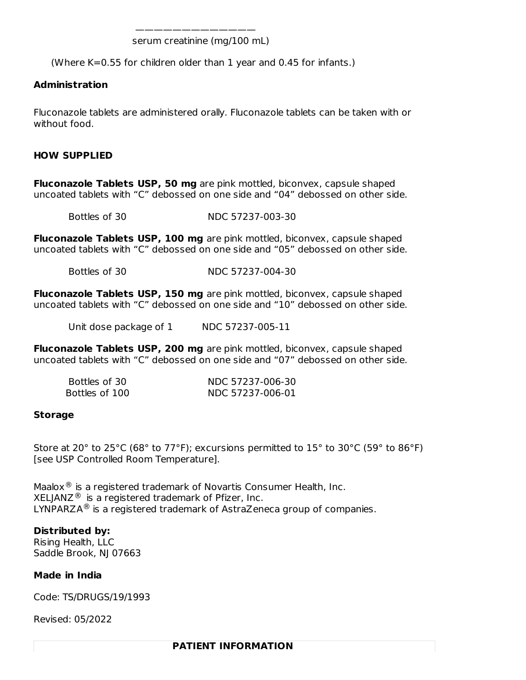———————————— serum creatinine (mg/100 mL)

(Where K=0.55 for children older than 1 year and 0.45 for infants.)

#### **Administration**

Fluconazole tablets are administered orally. Fluconazole tablets can be taken with or without food.

#### **HOW SUPPLIED**

**Fluconazole Tablets USP, 50 mg** are pink mottled, biconvex, capsule shaped uncoated tablets with "C" debossed on one side and "04" debossed on other side.

Bottles of 30 NDC 57237-003-30

**Fluconazole Tablets USP, 100 mg** are pink mottled, biconvex, capsule shaped uncoated tablets with "C" debossed on one side and "05" debossed on other side.

Bottles of 30 NDC 57237-004-30

**Fluconazole Tablets USP, 150 mg** are pink mottled, biconvex, capsule shaped uncoated tablets with "C" debossed on one side and "10" debossed on other side.

Unit dose package of 1 NDC 57237-005-11

**Fluconazole Tablets USP, 200 mg** are pink mottled, biconvex, capsule shaped uncoated tablets with "C" debossed on one side and "07" debossed on other side.

| Bottles of 30  | NDC 57237-006-30 |
|----------------|------------------|
| Bottles of 100 | NDC 57237-006-01 |

#### **Storage**

Store at 20 $^{\circ}$  to 25 $^{\circ}$ C (68 $^{\circ}$  to 77 $^{\circ}$ F); excursions permitted to 15 $^{\circ}$  to 30 $^{\circ}$ C (59 $^{\circ}$  to 86 $^{\circ}$ F) [see USP Controlled Room Temperature].

Maalox $^\circledR$  is a registered trademark of Novartis Consumer Health, Inc.  $XELJANZ<sup>®</sup>$  is a registered trademark of Pfizer, Inc. LYNPARZA $\mathsf{^@}$  is a registered trademark of AstraZeneca group of companies.

**Distributed by:** Rising Health, LLC

Saddle Brook, NJ 07663

#### **Made in India**

Code: TS/DRUGS/19/1993

Revised: 05/2022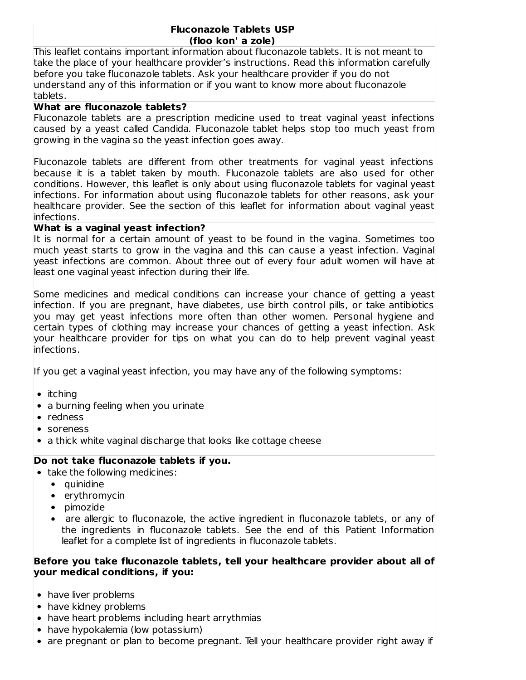#### **Fluconazole Tablets USP (floo kon' a zole)**

This leaflet contains important information about fluconazole tablets. It is not meant to take the place of your healthcare provider's instructions. Read this information carefully before you take fluconazole tablets. Ask your healthcare provider if you do not understand any of this information or if you want to know more about fluconazole tablets.

#### **What are fluconazole tablets?**

Fluconazole tablets are a prescription medicine used to treat vaginal yeast infections caused by a yeast called Candida. Fluconazole tablet helps stop too much yeast from growing in the vagina so the yeast infection goes away.

Fluconazole tablets are different from other treatments for vaginal yeast infections because it is a tablet taken by mouth. Fluconazole tablets are also used for other conditions. However, this leaflet is only about using fluconazole tablets for vaginal yeast infections. For information about using fluconazole tablets for other reasons, ask your healthcare provider. See the section of this leaflet for information about vaginal yeast infections.

## **What is a vaginal yeast infection?**

It is normal for a certain amount of yeast to be found in the vagina. Sometimes too much yeast starts to grow in the vagina and this can cause a yeast infection. Vaginal yeast infections are common. About three out of every four adult women will have at least one vaginal yeast infection during their life.

Some medicines and medical conditions can increase your chance of getting a yeast infection. If you are pregnant, have diabetes, use birth control pills, or take antibiotics you may get yeast infections more often than other women. Personal hygiene and certain types of clothing may increase your chances of getting a yeast infection. Ask your healthcare provider for tips on what you can do to help prevent vaginal yeast infections.

If you get a vaginal yeast infection, you may have any of the following symptoms:

- $\bullet$  itching
- a burning feeling when you urinate
- redness
- soreness
- a thick white vaginal discharge that looks like cottage cheese

# **Do not take fluconazole tablets if you.**

- take the following medicines:
	- quinidine
	- erythromycin
	- pimozide
	- are allergic to fluconazole, the active ingredient in fluconazole tablets, or any of the ingredients in fluconazole tablets. See the end of this Patient Information leaflet for a complete list of ingredients in fluconazole tablets.

#### **Before you take fluconazole tablets, tell your healthcare provider about all of your medical conditions, if you:**

- have liver problems
- have kidney problems
- have heart problems including heart arrythmias
- have hypokalemia (low potassium)
- $\bullet$  are pregnant or plan to become pregnant. Tell your healthcare provider right away if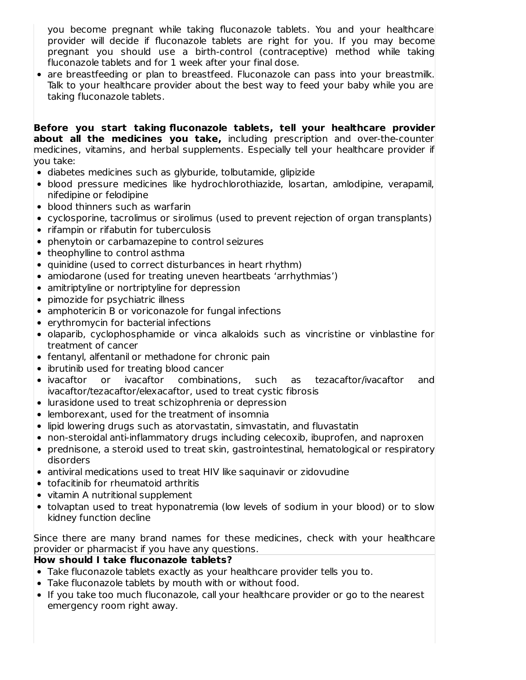you become pregnant while taking fluconazole tablets. You and your healthcare provider will decide if fluconazole tablets are right for you. If you may become pregnant you should use a birth-control (contraceptive) method while taking fluconazole tablets and for 1 week after your final dose.

• are breastfeeding or plan to breastfeed. Fluconazole can pass into your breastmilk. Talk to your healthcare provider about the best way to feed your baby while you are taking fluconazole tablets.

**Before you start taking fluconazole tablets, tell your healthcare provider about all the medicines you take,** including prescription and over-the-counter medicines, vitamins, and herbal supplements. Especially tell your healthcare provider if you take:

- diabetes medicines such as glyburide, tolbutamide, glipizide
- blood pressure medicines like hydrochlorothiazide, losartan, amlodipine, verapamil, nifedipine or felodipine
- blood thinners such as warfarin
- cyclosporine, tacrolimus or sirolimus (used to prevent rejection of organ transplants)
- rifampin or rifabutin for tuberculosis
- phenytoin or carbamazepine to control seizures
- theophylline to control asthma
- quinidine (used to correct disturbances in heart rhythm)
- amiodarone (used for treating uneven heartbeats 'arrhythmias')
- amitriptyline or nortriptyline for depression
- pimozide for psychiatric illness
- amphotericin B or voriconazole for fungal infections
- erythromycin for bacterial infections
- olaparib, cyclophosphamide or vinca alkaloids such as vincristine or vinblastine for treatment of cancer
- fentanyl, alfentanil or methadone for chronic pain
- ibrutinib used for treating blood cancer
- ivacaftor or ivacaftor combinations, such as tezacaftor/ivacaftor and ivacaftor/tezacaftor/elexacaftor, used to treat cystic fibrosis
- lurasidone used to treat schizophrenia or depression
- lemborexant, used for the treatment of insomnia
- lipid lowering drugs such as atorvastatin, simvastatin, and fluvastatin
- non-steroidal anti-inflammatory drugs including celecoxib, ibuprofen, and naproxen
- prednisone, a steroid used to treat skin, gastrointestinal, hematological or respiratory disorders
- antiviral medications used to treat HIV like saquinavir or zidovudine
- tofacitinib for rheumatoid arthritis
- vitamin A nutritional supplement
- tolvaptan used to treat hyponatremia (low levels of sodium in your blood) or to slow kidney function decline

Since there are many brand names for these medicines, check with your healthcare provider or pharmacist if you have any questions.

#### **How should I take fluconazole tablets?**

- Take fluconazole tablets exactly as your healthcare provider tells you to.
- Take fluconazole tablets by mouth with or without food.
- If you take too much fluconazole, call your healthcare provider or go to the nearest emergency room right away.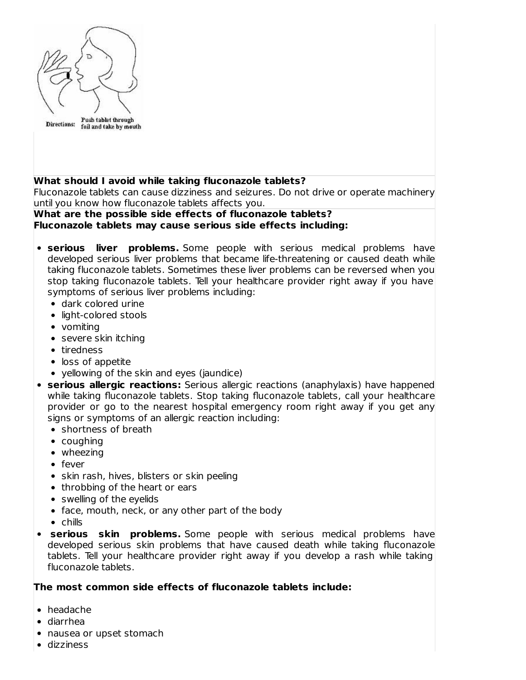

# **What should I avoid while taking fluconazole tablets?**

Fluconazole tablets can cause dizziness and seizures. Do not drive or operate machinery until you know how fluconazole tablets affects you.

## **What are the possible side effects of fluconazole tablets? Fluconazole tablets may cause serious side effects including:**

- **serious liver problems.** Some people with serious medical problems have developed serious liver problems that became life-threatening or caused death while taking fluconazole tablets. Sometimes these liver problems can be reversed when you stop taking fluconazole tablets. Tell your healthcare provider right away if you have symptoms of serious liver problems including:
	- dark colored urine
	- light-colored stools
	- vomiting
	- severe skin itching
	- tiredness
	- loss of appetite
	- yellowing of the skin and eyes (jaundice)
- **serious allergic reactions:** Serious allergic reactions (anaphylaxis) have happened while taking fluconazole tablets. Stop taking fluconazole tablets, call your healthcare provider or go to the nearest hospital emergency room right away if you get any signs or symptoms of an allergic reaction including:
	- shortness of breath
	- coughing
	- wheezing
	- fever
	- skin rash, hives, blisters or skin peeling
	- throbbing of the heart or ears
	- swelling of the eyelids
	- face, mouth, neck, or any other part of the body
	- $\bullet$  chills
- **serious skin problems.** Some people with serious medical problems have  $\bullet$ developed serious skin problems that have caused death while taking fluconazole tablets. Tell your healthcare provider right away if you develop a rash while taking fluconazole tablets.

#### **The most common side effects of fluconazole tablets include:**

- headache
- diarrhea
- nausea or upset stomach
- dizziness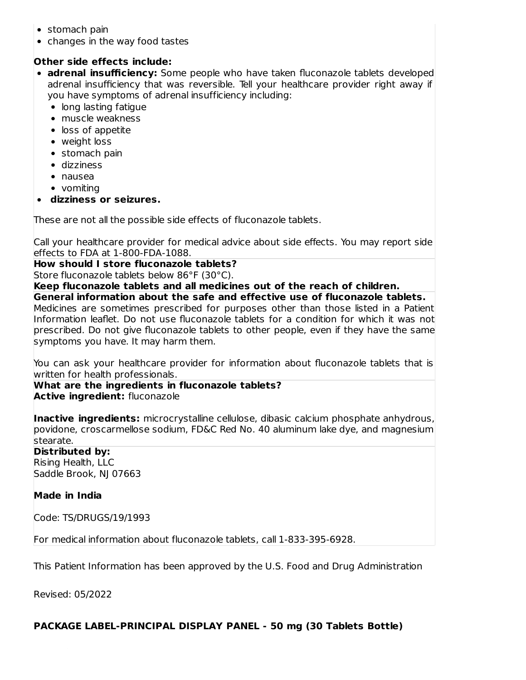- stomach pain
- changes in the way food tastes

# **Other side effects include:**

- **adrenal insufficiency:** Some people who have taken fluconazole tablets developed adrenal insufficiency that was reversible. Tell your healthcare provider right away if you have symptoms of adrenal insufficiency including:
	- long lasting fatique
	- muscle weakness
	- loss of appetite
	- weight loss
	- stomach pain
	- dizziness
	- nausea
	- vomiting
- **dizziness or seizures.**

These are not all the possible side effects of fluconazole tablets.

Call your healthcare provider for medical advice about side effects. You may report side effects to FDA at 1-800-FDA-1088.

**How should I store fluconazole tablets?**

Store fluconazole tablets below 86°F (30°C).

**Keep fluconazole tablets and all medicines out of the reach of children.**

**General information about the safe and effective use of fluconazole tablets.** Medicines are sometimes prescribed for purposes other than those listed in a Patient Information leaflet. Do not use fluconazole tablets for a condition for which it was not prescribed. Do not give fluconazole tablets to other people, even if they have the same symptoms you have. It may harm them.

You can ask your healthcare provider for information about fluconazole tablets that is written for health professionals.

**What are the ingredients in fluconazole tablets? Active ingredient:** fluconazole

**Inactive ingredients:** microcrystalline cellulose, dibasic calcium phosphate anhydrous, povidone, croscarmellose sodium, FD&C Red No. 40 aluminum lake dye, and magnesium stearate.

# **Distributed by:**

Rising Health, LLC Saddle Brook, NJ 07663

# **Made in India**

Code: TS/DRUGS/19/1993

For medical information about fluconazole tablets, call 1-833-395-6928.

This Patient Information has been approved by the U.S. Food and Drug Administration

Revised: 05/2022

**®**

# **PACKAGE LABEL-PRINCIPAL DISPLAY PANEL - 50 mg (30 Tablets Bottle)**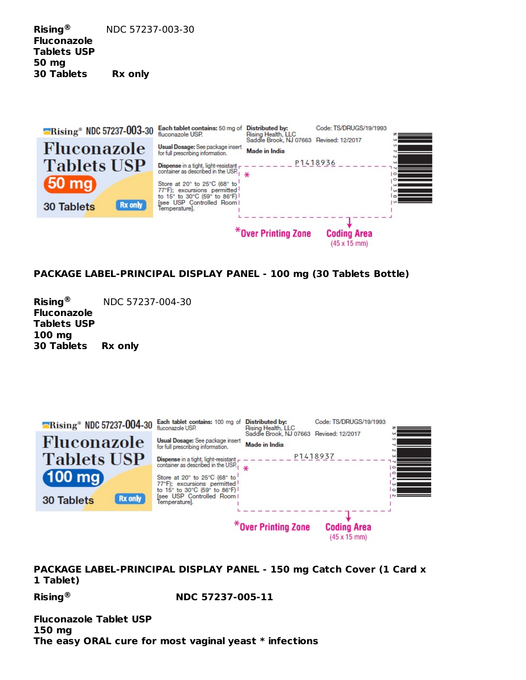**Rising** NDC 57237-003-30 **Fluconazole Tablets USP 50 mg 30 Tablets Rx only ®**



# **PACKAGE LABEL-PRINCIPAL DISPLAY PANEL - 100 mg (30 Tablets Bottle)**

**Rising** NDC 57237-004-30 **Fluconazole Tablets USP 100 mg 30 Tablets Rx only ®**

| $\blacksquare$ Rising <sup>®</sup> NDC 57237-004-30 | Each tablet contains: 100 mg of<br>fluconazole USP.                                                                                                                                                                                                                      | Distributed by:<br>Rising Health, LLC                    | Code: TS/DRUGS/19/1993                            |                                             |
|-----------------------------------------------------|--------------------------------------------------------------------------------------------------------------------------------------------------------------------------------------------------------------------------------------------------------------------------|----------------------------------------------------------|---------------------------------------------------|---------------------------------------------|
| Fluconazole<br><b>Tablets USP</b><br>(100 mg)       | Usual Dosage: See package insert<br>for full prescribing information.<br><b>Dispense in a tight, light-resistant</b> $\mathsf{r}$ -<br>container as described in the USP.<br>Store at 20° to 25°C (68° to<br>77°F); excursions permitted<br>to 15° to 30°C (59° to 86°F) | Saddle Brook, NJ 07663 Revised: 12/2017<br>Made in India | P1418937                                          | Pus.<br>$\circ$<br>$\overline{\phantom{0}}$ |
| Rx only<br><b>30 Tablets</b>                        | <b>Isee USP Controlled Room I</b><br>Temperature].                                                                                                                                                                                                                       |                                                          |                                                   |                                             |
|                                                     |                                                                                                                                                                                                                                                                          | *Over Printing Zone                                      | <b>Coding Area</b><br>$(45 \times 15 \text{ mm})$ |                                             |

**PACKAGE LABEL-PRINCIPAL DISPLAY PANEL - 150 mg Catch Cover (1 Card x 1 Tablet)**

**Rising NDC 57237-005-11 ®**

**Fluconazole Tablet USP 150 mg The easy ORAL cure for most vaginal yeast \* infections**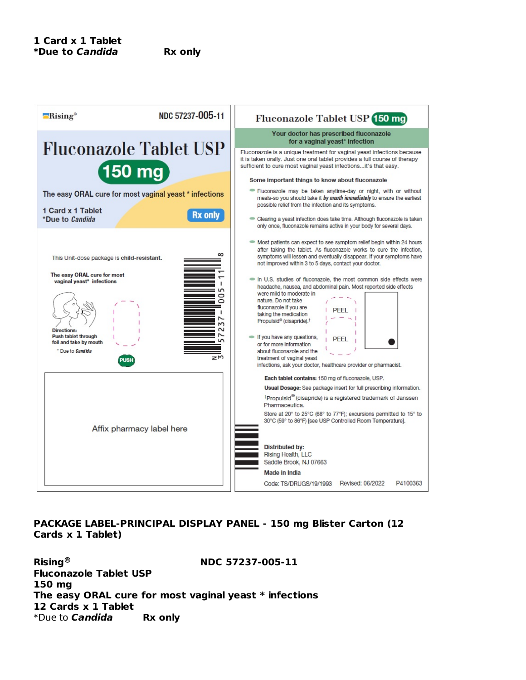

## **PACKAGE LABEL-PRINCIPAL DISPLAY PANEL - 150 mg Blister Carton (12 Cards x 1 Tablet)**

**Rising NDC 57237-005-11 Fluconazole Tablet USP 150 mg The easy ORAL cure for most vaginal yeast \* infections 12 Cards x 1 Tablet** \*Due to **Candida Rx only ®**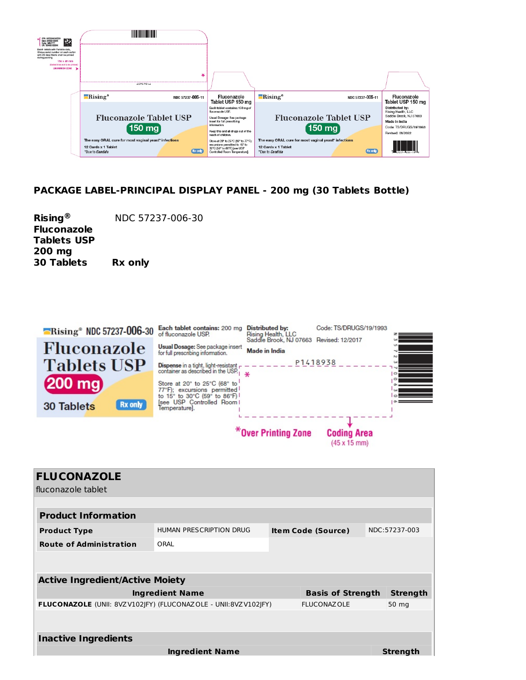

# **PACKAGE LABEL-PRINCIPAL DISPLAY PANEL - 200 mg (30 Tablets Bottle)**

**Rising** NDC 57237-006-30 **Fluconazole Tablets USP 200 mg 30 Tablets Rx only ®**





| <b>FLUCONAZOLE</b>                                             |                         |                           |                 |
|----------------------------------------------------------------|-------------------------|---------------------------|-----------------|
| fluconazole tablet                                             |                         |                           |                 |
|                                                                |                         |                           |                 |
| <b>Product Information</b>                                     |                         |                           |                 |
| <b>Product Type</b>                                            | HUMAN PRESCRIPTION DRUG | <b>Item Code (Source)</b> | NDC:57237-003   |
| <b>Route of Administration</b>                                 | ORAL                    |                           |                 |
|                                                                |                         |                           |                 |
| <b>Active Ingredient/Active Moiety</b>                         |                         |                           |                 |
|                                                                |                         |                           |                 |
|                                                                | <b>Ingredient Name</b>  | <b>Basis of Strength</b>  | Strength        |
| FLUCONAZOLE (UNII: 8VZV102JFY) (FLUCONAZOLE - UNII:8VZV102JFY) |                         | <b>FLUCONAZOLE</b>        | 50 mg           |
|                                                                |                         |                           |                 |
|                                                                |                         |                           |                 |
| <b>Inactive Ingredients</b>                                    |                         |                           |                 |
|                                                                | Ingredient Name         |                           | <b>Strength</b> |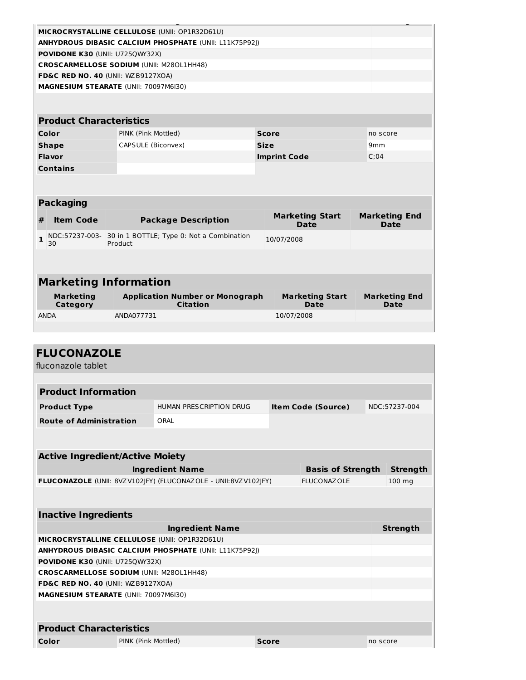|                                                               | MICROCRYSTALLINE CELLULOSE (UNII: OP1R32D61U)     |                                                           |  |                                       |                                     |  |  |
|---------------------------------------------------------------|---------------------------------------------------|-----------------------------------------------------------|--|---------------------------------------|-------------------------------------|--|--|
| <b>ANHYDROUS DIBASIC CALCIUM PHOSPHATE (UNII: L11K75P92I)</b> |                                                   |                                                           |  |                                       |                                     |  |  |
| POVIDONE K30 (UNII: U725QWY32X)                               |                                                   |                                                           |  |                                       |                                     |  |  |
|                                                               |                                                   | <b>CROSCARMELLOSE SODIUM (UNII: M280L1HH48)</b>           |  |                                       |                                     |  |  |
|                                                               |                                                   | FD&C RED NO. 40 (UNII: WZB9127XOA)                        |  |                                       |                                     |  |  |
|                                                               |                                                   | MAGNESIUM STEARATE (UNII: 70097M6I30)                     |  |                                       |                                     |  |  |
|                                                               |                                                   |                                                           |  |                                       |                                     |  |  |
|                                                               |                                                   |                                                           |  |                                       |                                     |  |  |
|                                                               | <b>Product Characteristics</b>                    |                                                           |  |                                       |                                     |  |  |
|                                                               | Color<br>PINK (Pink Mottled)<br>Score             |                                                           |  | no score                              |                                     |  |  |
|                                                               | <b>Shape</b><br>CAPSULE (Biconvex)<br><b>Size</b> |                                                           |  | 9 <sub>mm</sub>                       |                                     |  |  |
|                                                               | Flavor                                            |                                                           |  | <b>Imprint Code</b>                   | C:04                                |  |  |
|                                                               | <b>Contains</b>                                   |                                                           |  |                                       |                                     |  |  |
|                                                               |                                                   |                                                           |  |                                       |                                     |  |  |
|                                                               |                                                   |                                                           |  |                                       |                                     |  |  |
|                                                               | <b>Packaging</b>                                  |                                                           |  |                                       |                                     |  |  |
| #                                                             | <b>Item Code</b>                                  | <b>Package Description</b>                                |  | <b>Marketing Start</b><br><b>Date</b> | <b>Marketing End</b><br><b>Date</b> |  |  |
| 1                                                             | NDC:57237-003-<br>30                              | 30 in 1 BOTTLE; Type 0: Not a Combination<br>Product      |  | 10/07/2008                            |                                     |  |  |
|                                                               |                                                   |                                                           |  |                                       |                                     |  |  |
|                                                               |                                                   |                                                           |  |                                       |                                     |  |  |
|                                                               | <b>Marketing Information</b>                      |                                                           |  |                                       |                                     |  |  |
|                                                               | <b>Marketing</b><br>Category                      | <b>Application Number or Monograph</b><br><b>Citation</b> |  | <b>Marketing Start</b><br><b>Date</b> | <b>Marketing End</b><br>Date        |  |  |
|                                                               |                                                   |                                                           |  |                                       |                                     |  |  |

| <b>FLUCONAZOLE</b>                              |                     |                                                                |              |                           |          |                 |
|-------------------------------------------------|---------------------|----------------------------------------------------------------|--------------|---------------------------|----------|-----------------|
| fluconazole tablet                              |                     |                                                                |              |                           |          |                 |
|                                                 |                     |                                                                |              |                           |          |                 |
| <b>Product Information</b>                      |                     |                                                                |              |                           |          |                 |
| <b>Product Type</b>                             |                     | HUMAN PRESCRIPTION DRUG                                        |              | <b>Item Code (Source)</b> |          | NDC:57237-004   |
| <b>Route of Administration</b>                  |                     | ORAL                                                           |              |                           |          |                 |
|                                                 |                     |                                                                |              |                           |          |                 |
|                                                 |                     |                                                                |              |                           |          |                 |
| <b>Active Ingredient/Active Moiety</b>          |                     |                                                                |              |                           |          |                 |
|                                                 |                     | <b>Ingredient Name</b>                                         |              | <b>Basis of Strength</b>  |          | <b>Strength</b> |
|                                                 |                     | FLUCONAZOLE (UNII: 8VZV102 FY) (FLUCONAZOLE - UNII:8VZV102 FY) |              | <b>FLUCONAZOLE</b>        |          | 100 mg          |
|                                                 |                     |                                                                |              |                           |          |                 |
| <b>Inactive Ingredients</b>                     |                     |                                                                |              |                           |          |                 |
|                                                 |                     | <b>Ingredient Name</b>                                         |              |                           |          | <b>Strength</b> |
| MICROCRYSTALLINE CELLULOSE (UNII: OP1R32D61U)   |                     |                                                                |              |                           |          |                 |
|                                                 |                     | <b>ANHYDROUS DIBASIC CALCIUM PHOSPHATE (UNII: L11K75P92I)</b>  |              |                           |          |                 |
| POVIDONE K30 (UNII: U725QWY32X)                 |                     |                                                                |              |                           |          |                 |
| <b>CROSCARMELLOSE SODIUM (UNII: M280L1HH48)</b> |                     |                                                                |              |                           |          |                 |
| FD&C RED NO. 40 (UNII: WZB9127XOA)              |                     |                                                                |              |                           |          |                 |
| MAGNESIUM STEARATE (UNII: 70097M6I30)           |                     |                                                                |              |                           |          |                 |
|                                                 |                     |                                                                |              |                           |          |                 |
| <b>Product Characteristics</b>                  |                     |                                                                |              |                           |          |                 |
| Color                                           | PINK (Pink Mottled) |                                                                | <b>Score</b> |                           | no score |                 |
|                                                 |                     |                                                                |              |                           |          |                 |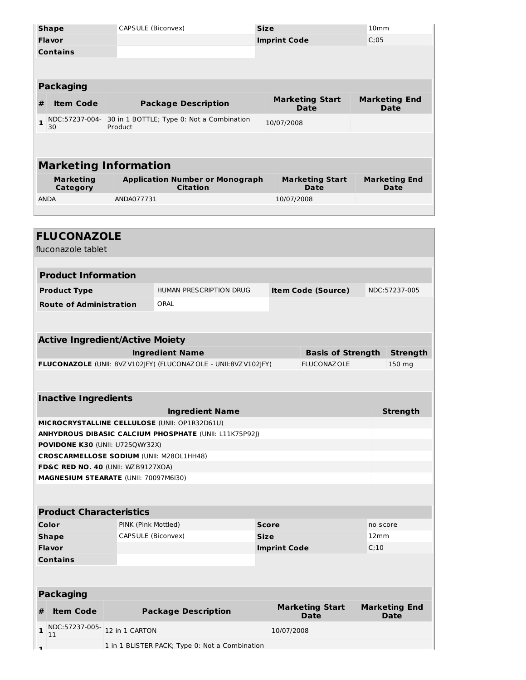|                              | <b>Shape</b>                 | CAPSULE (Biconvex)                                        | <b>Size</b>                    |                                | 10 <sub>mm</sub>                    |  |  |
|------------------------------|------------------------------|-----------------------------------------------------------|--------------------------------|--------------------------------|-------------------------------------|--|--|
|                              | <b>Flavor</b>                |                                                           |                                | <b>Imprint Code</b>            | C:05                                |  |  |
|                              | <b>Contains</b>              |                                                           |                                |                                |                                     |  |  |
|                              |                              |                                                           |                                |                                |                                     |  |  |
|                              |                              |                                                           |                                |                                |                                     |  |  |
|                              | <b>Packaging</b>             |                                                           |                                |                                |                                     |  |  |
| #                            | <b>Item Code</b>             | <b>Package Description</b>                                | <b>Marketing Start</b><br>Date |                                | <b>Marketing End</b><br>Date        |  |  |
| $\mathbf{1}$                 | NDC:57237-004-<br>30         | 30 in 1 BOTTLE; Type 0: Not a Combination<br>Product      |                                | 10/07/2008                     |                                     |  |  |
|                              |                              |                                                           |                                |                                |                                     |  |  |
|                              |                              |                                                           |                                |                                |                                     |  |  |
|                              | <b>Marketing Information</b> |                                                           |                                |                                |                                     |  |  |
| <b>Marketing</b><br>Category |                              | <b>Application Number or Monograph</b><br><b>Citation</b> |                                | <b>Marketing Start</b><br>Date | <b>Marketing End</b><br><b>Date</b> |  |  |
|                              | <b>ANDA</b>                  | ANDA077731                                                |                                | 10/07/2008                     |                                     |  |  |
|                              |                              |                                                           |                                |                                |                                     |  |  |

|    | <b>FLUCONAZOLE</b><br>fluconazole tablet        |                     |                                                                |              |                                       |                          |          |                                     |  |
|----|-------------------------------------------------|---------------------|----------------------------------------------------------------|--------------|---------------------------------------|--------------------------|----------|-------------------------------------|--|
|    | <b>Product Information</b>                      |                     |                                                                |              |                                       |                          |          |                                     |  |
|    | <b>Product Type</b>                             |                     | <b>HUMAN PRESCRIPTION DRUG</b><br><b>Item Code (Source)</b>    |              |                                       |                          |          | NDC:57237-005                       |  |
|    | <b>Route of Administration</b>                  |                     | ORAL                                                           |              |                                       |                          |          |                                     |  |
|    |                                                 |                     |                                                                |              |                                       |                          |          |                                     |  |
|    | <b>Active Ingredient/Active Moiety</b>          |                     |                                                                |              |                                       |                          |          |                                     |  |
|    |                                                 |                     | <b>Ingredient Name</b>                                         |              |                                       | <b>Basis of Strength</b> |          | <b>Strength</b>                     |  |
|    |                                                 |                     | FLUCONAZOLE (UNII: 8VZV102JFY) (FLUCONAZOLE - UNII:8VZV102JFY) |              | <b>FLUCONAZOLE</b>                    |                          |          | 150 mg                              |  |
|    |                                                 |                     |                                                                |              |                                       |                          |          |                                     |  |
|    | <b>Inactive Ingredients</b>                     |                     |                                                                |              |                                       |                          |          |                                     |  |
|    | <b>Strength</b><br><b>Ingredient Name</b>       |                     |                                                                |              |                                       |                          |          |                                     |  |
|    | MICROCRYSTALLINE CELLULOSE (UNII: OP1R32D61U)   |                     |                                                                |              |                                       |                          |          |                                     |  |
|    |                                                 |                     | <b>ANHYDROUS DIBASIC CALCIUM PHOSPHATE (UNII: L11K75P92))</b>  |              |                                       |                          |          |                                     |  |
|    | POVIDONE K30 (UNII: U725QWY32X)                 |                     |                                                                |              |                                       |                          |          |                                     |  |
|    | <b>CROSCARMELLOSE SODIUM (UNII: M280L1HH48)</b> |                     |                                                                |              |                                       |                          |          |                                     |  |
|    | <b>FD&amp;C RED NO. 40 (UNII: WZB9127XOA)</b>   |                     |                                                                |              |                                       |                          |          |                                     |  |
|    | <b>MAGNESIUM STEARATE (UNII: 70097M6I30)</b>    |                     |                                                                |              |                                       |                          |          |                                     |  |
|    | <b>Product Characteristics</b>                  |                     |                                                                |              |                                       |                          |          |                                     |  |
|    | Color                                           | PINK (Pink Mottled) |                                                                | <b>Score</b> |                                       |                          | no score |                                     |  |
|    | <b>Shape</b>                                    | CAPSULE (Biconvex)  |                                                                | <b>Size</b>  |                                       |                          | 12mm     |                                     |  |
|    | <b>Flavor</b>                                   |                     |                                                                |              | <b>Imprint Code</b>                   |                          | C:10     |                                     |  |
|    | <b>Contains</b>                                 |                     |                                                                |              |                                       |                          |          |                                     |  |
|    |                                                 |                     |                                                                |              |                                       |                          |          |                                     |  |
|    | <b>Packaging</b>                                |                     |                                                                |              |                                       |                          |          |                                     |  |
| #  | <b>Item Code</b>                                |                     | <b>Package Description</b>                                     |              | <b>Marketing Start</b><br><b>Date</b> |                          |          | <b>Marketing End</b><br><b>Date</b> |  |
| 1  | NDC:57237-005-<br>11                            | 12 in 1 CARTON      |                                                                |              | 10/07/2008                            |                          |          |                                     |  |
| п. |                                                 |                     | 1 in 1 BLISTER PACK; Type 0: Not a Combination                 |              |                                       |                          |          |                                     |  |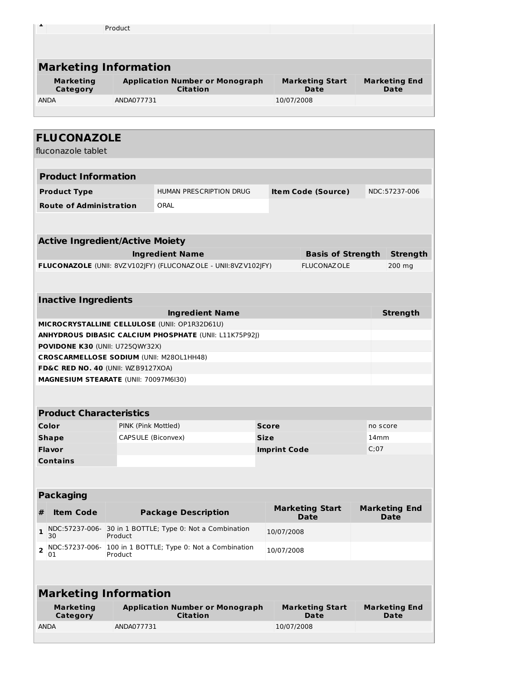| a,                                              | Product             |                                                                |                     |                                       |          |                                     |
|-------------------------------------------------|---------------------|----------------------------------------------------------------|---------------------|---------------------------------------|----------|-------------------------------------|
|                                                 |                     |                                                                |                     |                                       |          |                                     |
|                                                 |                     |                                                                |                     |                                       |          |                                     |
| <b>Marketing Information</b>                    |                     |                                                                |                     |                                       |          |                                     |
| <b>Marketing</b><br>Category                    |                     | <b>Application Number or Monograph</b><br><b>Citation</b>      |                     | <b>Marketing Start</b><br><b>Date</b> |          | <b>Marketing End</b><br><b>Date</b> |
| <b>ANDA</b>                                     | ANDA077731          |                                                                |                     | 10/07/2008                            |          |                                     |
|                                                 |                     |                                                                |                     |                                       |          |                                     |
|                                                 |                     |                                                                |                     |                                       |          |                                     |
| <b>FLUCONAZOLE</b>                              |                     |                                                                |                     |                                       |          |                                     |
| fluconazole tablet                              |                     |                                                                |                     |                                       |          |                                     |
| <b>Product Information</b>                      |                     |                                                                |                     |                                       |          |                                     |
| <b>Product Type</b>                             |                     | HUMAN PRESCRIPTION DRUG                                        |                     | <b>Item Code (Source)</b>             |          | NDC:57237-006                       |
| <b>Route of Administration</b>                  |                     | ORAL                                                           |                     |                                       |          |                                     |
|                                                 |                     |                                                                |                     |                                       |          |                                     |
|                                                 |                     |                                                                |                     |                                       |          |                                     |
| <b>Active Ingredient/Active Moiety</b>          |                     |                                                                |                     |                                       |          |                                     |
|                                                 |                     | <b>Ingredient Name</b>                                         |                     | <b>Basis of Strength</b>              |          | <b>Strength</b>                     |
|                                                 |                     | FLUCONAZOLE (UNII: 8VZV102JFY) (FLUCONAZOLE - UNII:8VZV102JFY) |                     | <b>FLUCONAZOLE</b>                    |          | 200 mg                              |
|                                                 |                     |                                                                |                     |                                       |          |                                     |
| <b>Inactive Ingredients</b>                     |                     |                                                                |                     |                                       |          |                                     |
|                                                 |                     | <b>Ingredient Name</b>                                         |                     |                                       |          | <b>Strength</b>                     |
| MICROCRYSTALLINE CELLULOSE (UNII: OP1R32D61U)   |                     |                                                                |                     |                                       |          |                                     |
|                                                 |                     | <b>ANHYDROUS DIBASIC CALCIUM PHOSPHATE (UNII: L11K75P92I)</b>  |                     |                                       |          |                                     |
| POVIDONE K30 (UNII: U725QWY32X)                 |                     |                                                                |                     |                                       |          |                                     |
| <b>CROSCARMELLOSE SODIUM (UNII: M280L1HH48)</b> |                     |                                                                |                     |                                       |          |                                     |
| FD&C RED NO. 40 (UNII: WZB9127XOA)              |                     |                                                                |                     |                                       |          |                                     |
| MAGNESIUM STEARATE (UNII: 70097M6I30)           |                     |                                                                |                     |                                       |          |                                     |
|                                                 |                     |                                                                |                     |                                       |          |                                     |
| <b>Product Characteristics</b>                  |                     |                                                                |                     |                                       |          |                                     |
| Color                                           | PINK (Pink Mottled) |                                                                | <b>Score</b>        |                                       | no score |                                     |
| <b>Shape</b>                                    | CAPSULE (Biconvex)  |                                                                | <b>Size</b>         |                                       | 14mm     |                                     |
| Flavor                                          |                     |                                                                | <b>Imprint Code</b> |                                       | C;07     |                                     |

| <b>Packaging</b> |                                                                      |                                |                              |  |  |  |
|------------------|----------------------------------------------------------------------|--------------------------------|------------------------------|--|--|--|
| <b>Item Code</b> | <b>Package Description</b>                                           | <b>Marketing Start</b><br>Date | <b>Marketing End</b><br>Date |  |  |  |
| 30               | NDC:57237-006- 30 in 1 BOTTLE; Type 0: Not a Combination<br>Product  | 10/07/2008                     |                              |  |  |  |
| 01               | NDC:57237-006- 100 in 1 BOTTLE; Type 0: Not a Combination<br>Product | 10/07/2008                     |                              |  |  |  |

**Contains**

| <b>Marketing Information</b> |                                                           |                                       |                              |  |  |
|------------------------------|-----------------------------------------------------------|---------------------------------------|------------------------------|--|--|
| <b>Marketing</b><br>Category | <b>Application Number or Monograph</b><br><b>Citation</b> | <b>Marketing Start</b><br><b>Date</b> | <b>Marketing End</b><br>Date |  |  |
| <b>ANDA</b>                  | ANDA077731                                                | 10/07/2008                            |                              |  |  |
|                              |                                                           |                                       |                              |  |  |